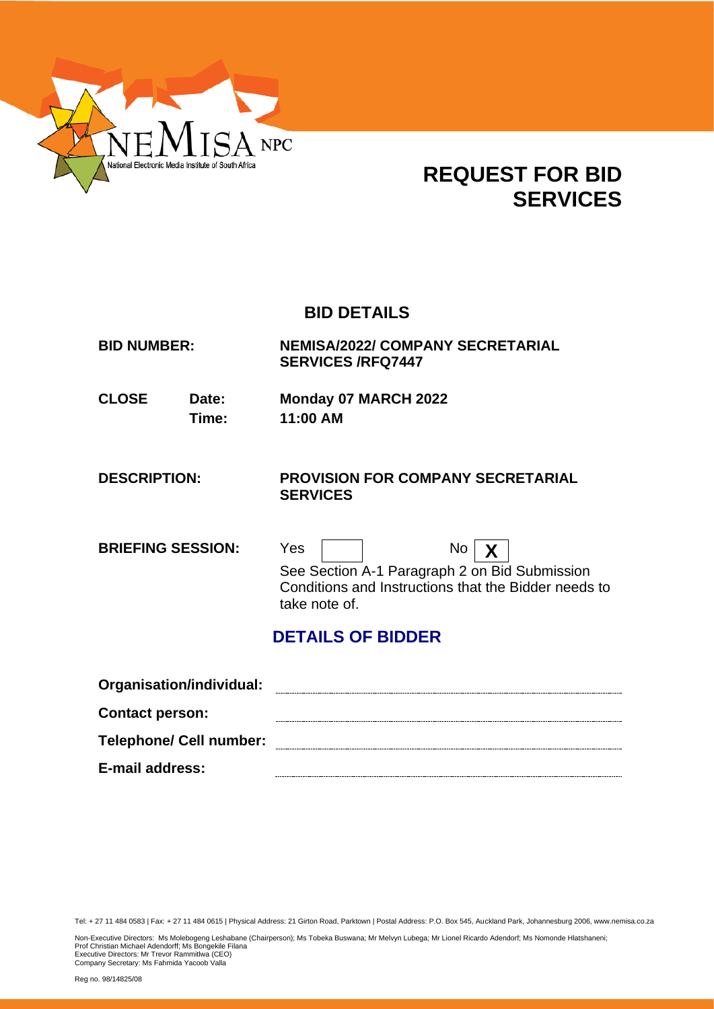

# **REQUEST FOR BID SERVICES**

## **BID DETAILS**

| <b>BID NUMBER:</b>       |                | <b>NEMISA/2022/ COMPANY SECRETARIAL</b><br><b>SERVICES/RFQ7447</b> |
|--------------------------|----------------|--------------------------------------------------------------------|
| <b>CLOSE</b>             | Date:<br>Time: | Monday 07 MARCH 2022<br>11:00 AM                                   |
| <b>DESCRIPTION:</b>      |                | <b>PROVISION FOR COMPANY SECRETARIAL</b><br><b>SERVICES</b>        |
| <b>BRIEFING SESSION:</b> |                | Yes<br>No                                                          |

See Section A-1 Paragraph 2 on Bid Submission Conditions and Instructions that the Bidder needs to take note of.

## **DETAILS OF BIDDER**

| Organisation/individual:       |  |
|--------------------------------|--|
| <b>Contact person:</b>         |  |
| <b>Telephone/ Cell number:</b> |  |
| E-mail address:                |  |

Tel: + 27 11 484 0583 | Fax: + 27 11 484 0615 | Physical Address: 21 Girton Road, Parktown | Postal Address: P.O. Box 545, Auckland Park, Johannesburg 2006, www.nemisa.co.za

Non-Executive Directors: Ms Molebogeng Leshabane (Chairperson); Ms Tobeka Buswana; Mr Melvyn Lubega; Mr Lionel Ricardo Adendorf; Ms Nomonde Hlatshaneni;<br>Prof Christian Michael Adendorff; Ms Bongekile Filana<br>Executive Dire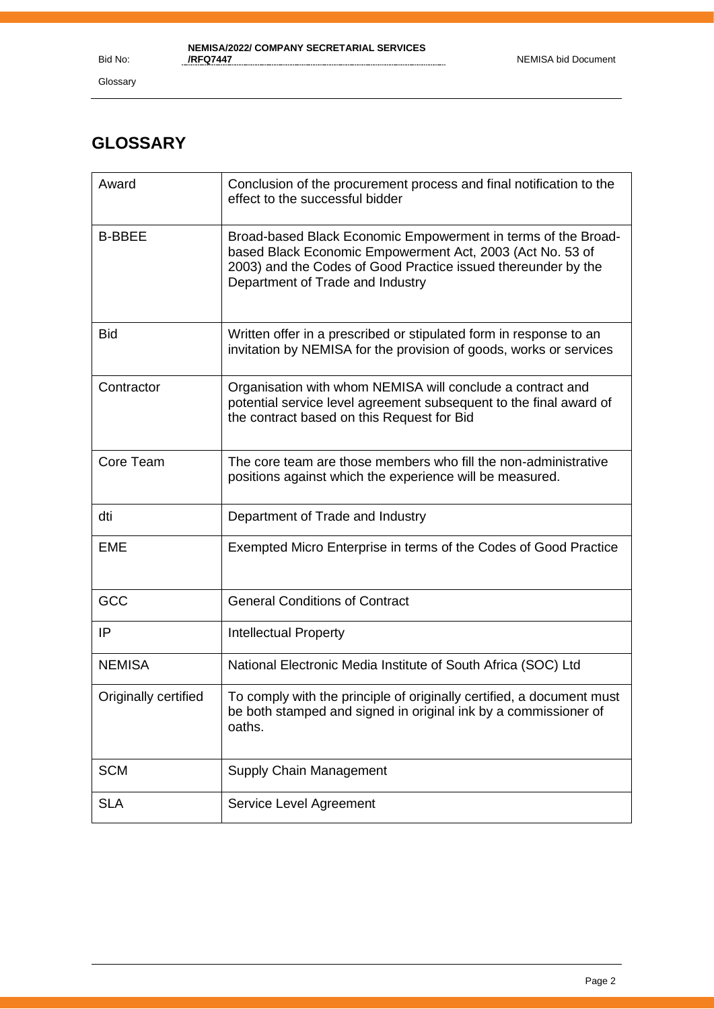Glossary

## **GLOSSARY**

| Award                | Conclusion of the procurement process and final notification to the<br>effect to the successful bidder                                                                                                                          |
|----------------------|---------------------------------------------------------------------------------------------------------------------------------------------------------------------------------------------------------------------------------|
| <b>B-BBEE</b>        | Broad-based Black Economic Empowerment in terms of the Broad-<br>based Black Economic Empowerment Act, 2003 (Act No. 53 of<br>2003) and the Codes of Good Practice issued thereunder by the<br>Department of Trade and Industry |
| <b>Bid</b>           | Written offer in a prescribed or stipulated form in response to an<br>invitation by NEMISA for the provision of goods, works or services                                                                                        |
| Contractor           | Organisation with whom NEMISA will conclude a contract and<br>potential service level agreement subsequent to the final award of<br>the contract based on this Request for Bid                                                  |
| Core Team            | The core team are those members who fill the non-administrative<br>positions against which the experience will be measured.                                                                                                     |
| dti                  | Department of Trade and Industry                                                                                                                                                                                                |
| <b>EME</b>           | Exempted Micro Enterprise in terms of the Codes of Good Practice                                                                                                                                                                |
| GCC                  | <b>General Conditions of Contract</b>                                                                                                                                                                                           |
| IP                   | <b>Intellectual Property</b>                                                                                                                                                                                                    |
| <b>NEMISA</b>        | National Electronic Media Institute of South Africa (SOC) Ltd                                                                                                                                                                   |
| Originally certified | To comply with the principle of originally certified, a document must<br>be both stamped and signed in original ink by a commissioner of<br>oaths.                                                                              |
| <b>SCM</b>           | Supply Chain Management                                                                                                                                                                                                         |
| <b>SLA</b>           | Service Level Agreement                                                                                                                                                                                                         |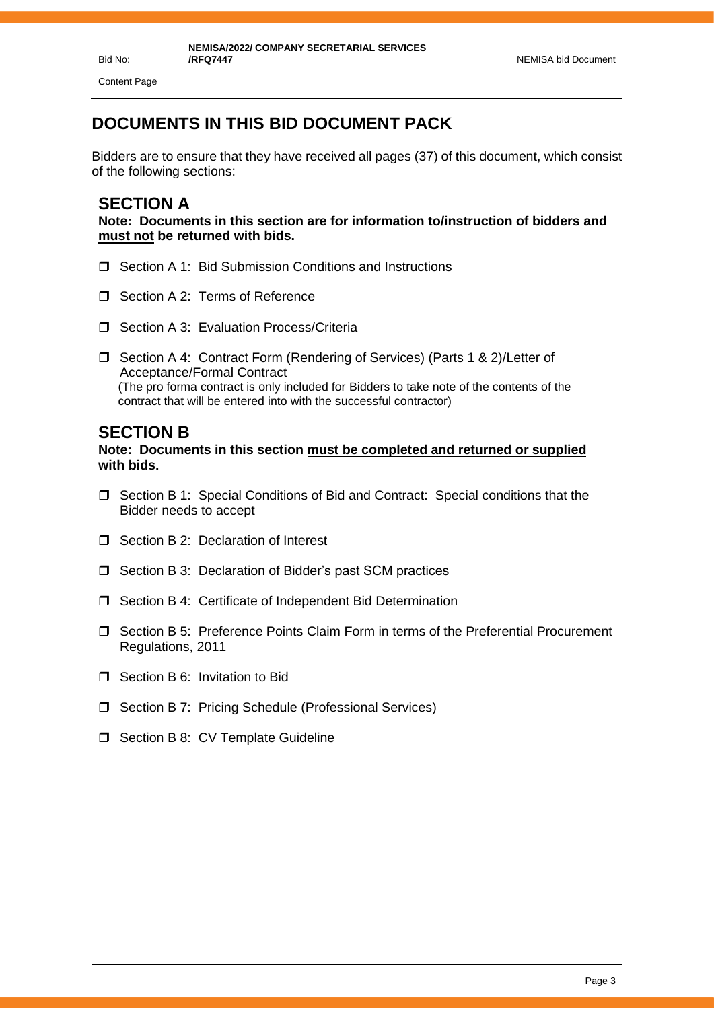Content Page

## **DOCUMENTS IN THIS BID DOCUMENT PACK**

Bidders are to ensure that they have received all pages (37) of this document, which consist of the following sections:

## **SECTION A**

**Note: Documents in this section are for information to/instruction of bidders and must not be returned with bids.**

- □ Section A 1: Bid Submission Conditions and Instructions
- Section A 2: Terms of Reference
- $\Box$  Section A 3: Evaluation Process/Criteria
- □ Section A 4: Contract Form (Rendering of Services) (Parts 1 & 2)/Letter of Acceptance/Formal Contract (The pro forma contract is only included for Bidders to take note of the contents of the contract that will be entered into with the successful contractor)

## **SECTION B**

**Note: Documents in this section must be completed and returned or supplied with bids.**

- Section B 1: Special Conditions of Bid and Contract: Special conditions that the Bidder needs to accept
- □ Section B 2: Declaration of Interest
- $\Box$  Section B 3: Declaration of Bidder's past SCM practices
- □ Section B 4: Certificate of Independent Bid Determination
- Section B 5: Preference Points Claim Form in terms of the Preferential Procurement Regulations, 2011
- □ Section B 6: Invitation to Bid
- □ Section B 7: Pricing Schedule (Professional Services)
- $\Box$  Section B 8: CV Template Guideline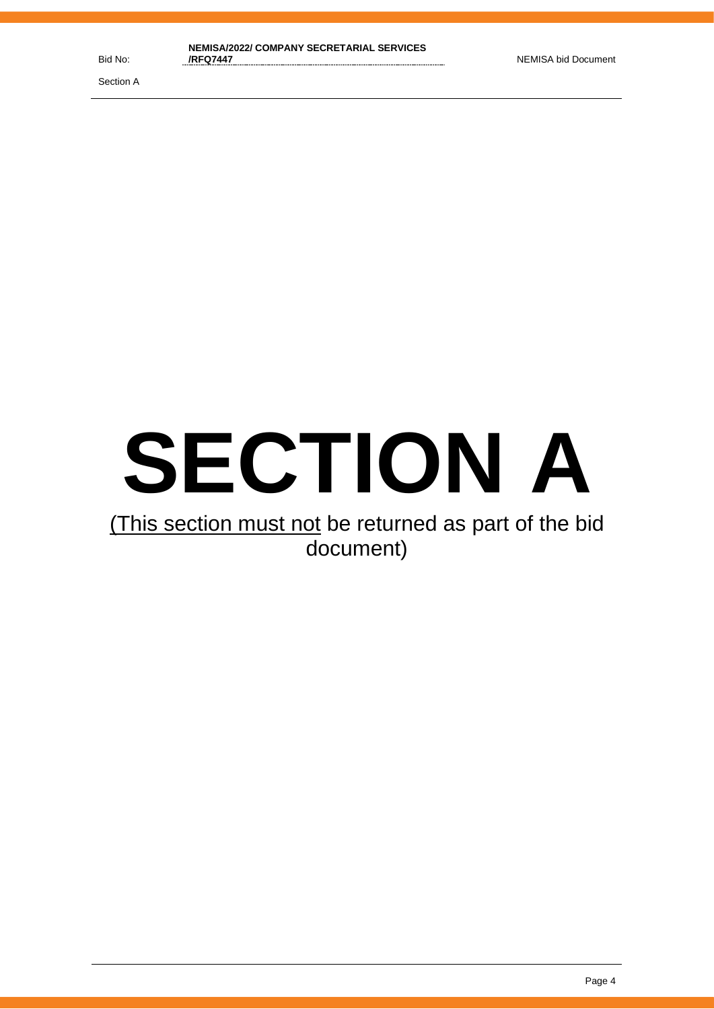# **SECTION A**

# (This section must not be returned as part of the bid document)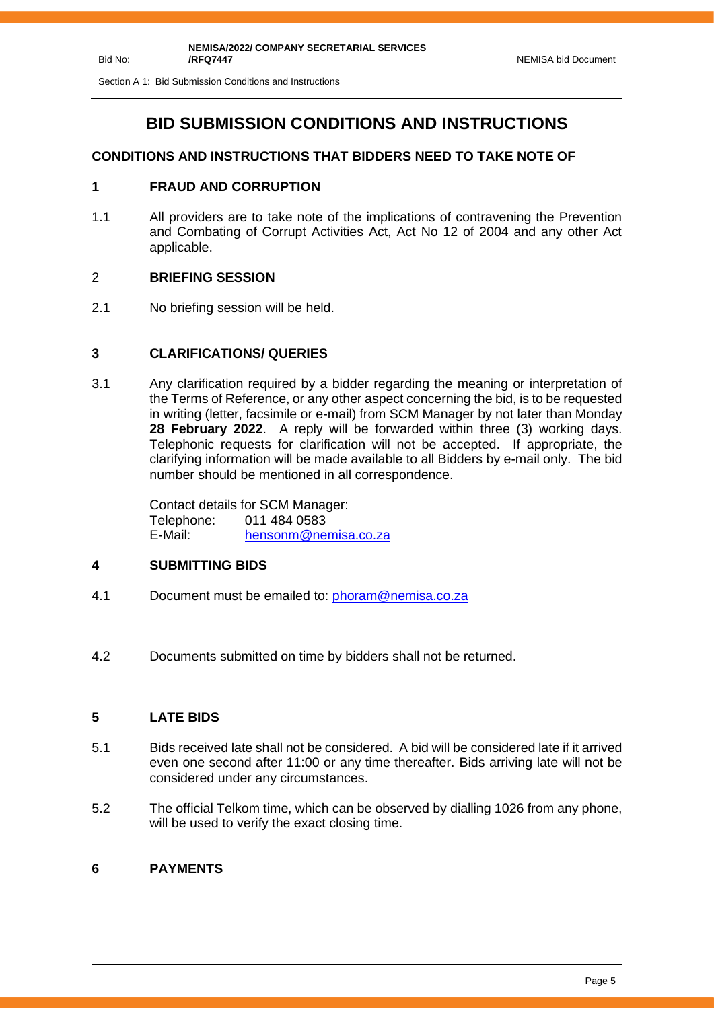Section A 1: Bid Submission Conditions and Instructions

## **BID SUBMISSION CONDITIONS AND INSTRUCTIONS**

## **CONDITIONS AND INSTRUCTIONS THAT BIDDERS NEED TO TAKE NOTE OF**

## **1 FRAUD AND CORRUPTION**

1.1 All providers are to take note of the implications of contravening the Prevention and Combating of Corrupt Activities Act, Act No 12 of 2004 and any other Act applicable.

## 2 **BRIEFING SESSION**

2.1 No briefing session will be held.

## **3 CLARIFICATIONS/ QUERIES**

3.1 Any clarification required by a bidder regarding the meaning or interpretation of the Terms of Reference, or any other aspect concerning the bid, is to be requested in writing (letter, facsimile or e-mail) from SCM Manager by not later than Monday **28 February 2022**. A reply will be forwarded within three (3) working days. Telephonic requests for clarification will not be accepted. If appropriate, the clarifying information will be made available to all Bidders by e-mail only. The bid number should be mentioned in all correspondence.

> Contact details for SCM Manager: Telephone: 011 484 0583 E-Mail: [hensonm@nemisa.co.za](mailto:hensonm@nemisa.co.za)

## **4 SUBMITTING BIDS**

- 4.1 Document must be emailed to: [phoram@nemisa.co.za](mailto:phoram@nemisa.co.za)
- 4.2 Documents submitted on time by bidders shall not be returned.

## **5 LATE BIDS**

- 5.1 Bids received late shall not be considered. A bid will be considered late if it arrived even one second after 11:00 or any time thereafter. Bids arriving late will not be considered under any circumstances.
- 5.2 The official Telkom time, which can be observed by dialling 1026 from any phone, will be used to verify the exact closing time.

## **6 PAYMENTS**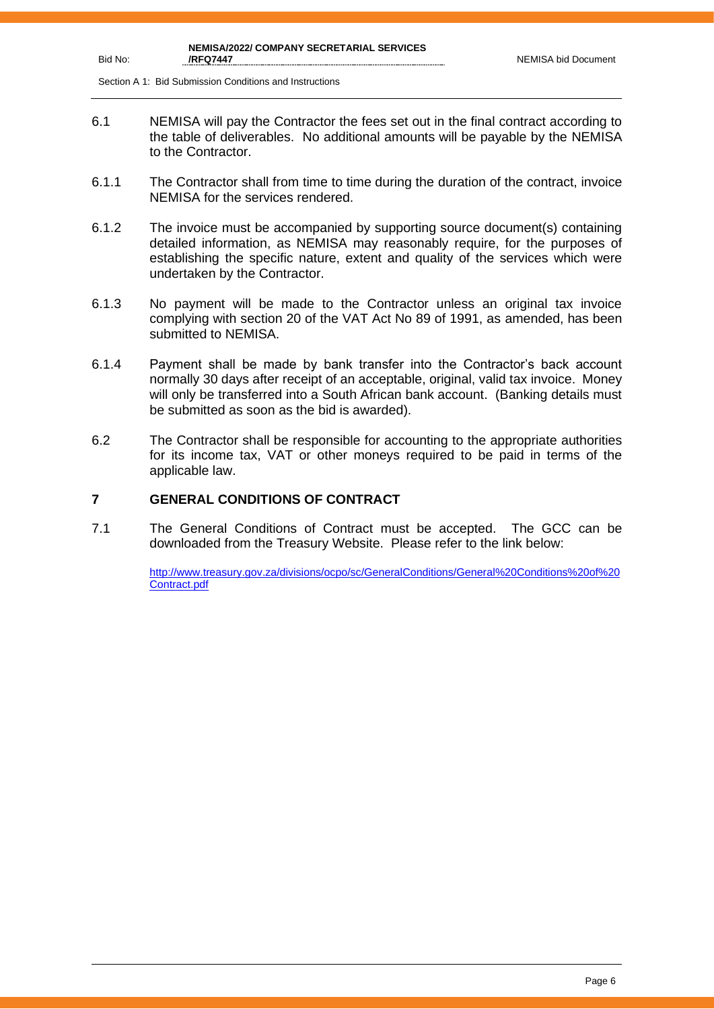Section A 1: Bid Submission Conditions and Instructions

Bid No:

- 6.1 NEMISA will pay the Contractor the fees set out in the final contract according to the table of deliverables. No additional amounts will be payable by the NEMISA to the Contractor.
- 6.1.1 The Contractor shall from time to time during the duration of the contract, invoice NEMISA for the services rendered.
- 6.1.2 The invoice must be accompanied by supporting source document(s) containing detailed information, as NEMISA may reasonably require, for the purposes of establishing the specific nature, extent and quality of the services which were undertaken by the Contractor.
- 6.1.3 No payment will be made to the Contractor unless an original tax invoice complying with section 20 of the VAT Act No 89 of 1991, as amended, has been submitted to NEMISA.
- 6.1.4 Payment shall be made by bank transfer into the Contractor's back account normally 30 days after receipt of an acceptable, original, valid tax invoice. Money will only be transferred into a South African bank account. (Banking details must be submitted as soon as the bid is awarded).
- 6.2 The Contractor shall be responsible for accounting to the appropriate authorities for its income tax, VAT or other moneys required to be paid in terms of the applicable law.

## **7 GENERAL CONDITIONS OF CONTRACT**

7.1 The General Conditions of Contract must be accepted. The GCC can be downloaded from the Treasury Website. Please refer to the link below:

> [http://www.treasury.gov.za/divisions/ocpo/sc/GeneralConditions/General%20Conditions%20of%20](http://www.treasury.gov.za/divisions/ocpo/sc/GeneralConditions/General%20Conditions%20of%20Contract.pdf) [Contract.pdf](http://www.treasury.gov.za/divisions/ocpo/sc/GeneralConditions/General%20Conditions%20of%20Contract.pdf)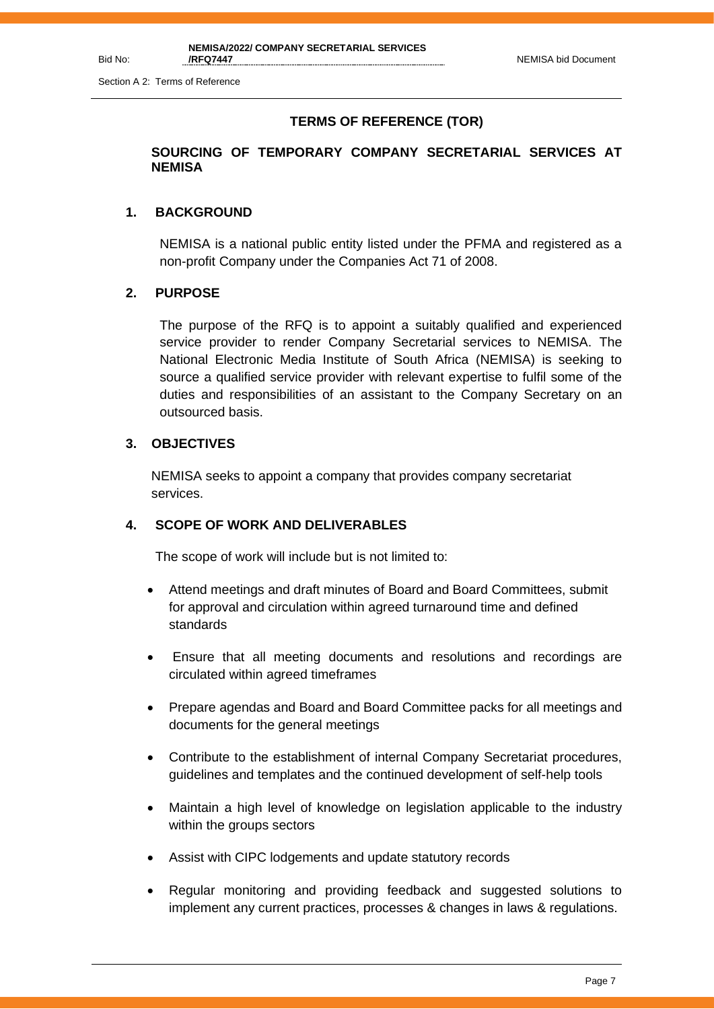Bid No:

## **TERMS OF REFERENCE (TOR)**

## **SOURCING OF TEMPORARY COMPANY SECRETARIAL SERVICES AT NEMISA**

#### **1. BACKGROUND**

NEMISA is a national public entity listed under the PFMA and registered as a non-profit Company under the Companies Act 71 of 2008.

#### **2. PURPOSE**

The purpose of the RFQ is to appoint a suitably qualified and experienced service provider to render Company Secretarial services to NEMISA. The National Electronic Media Institute of South Africa (NEMISA) is seeking to source a qualified service provider with relevant expertise to fulfil some of the duties and responsibilities of an assistant to the Company Secretary on an outsourced basis.

## **3. OBJECTIVES**

NEMISA seeks to appoint a company that provides company secretariat services.

## **4. SCOPE OF WORK AND DELIVERABLES**

The scope of work will include but is not limited to:

- Attend meetings and draft minutes of Board and Board Committees, submit for approval and circulation within agreed turnaround time and defined standards
- Ensure that all meeting documents and resolutions and recordings are circulated within agreed timeframes
- Prepare agendas and Board and Board Committee packs for all meetings and documents for the general meetings
- Contribute to the establishment of internal Company Secretariat procedures, guidelines and templates and the continued development of self-help tools
- Maintain a high level of knowledge on legislation applicable to the industry within the groups sectors
- Assist with CIPC lodgements and update statutory records
- Regular monitoring and providing feedback and suggested solutions to implement any current practices, processes & changes in laws & regulations.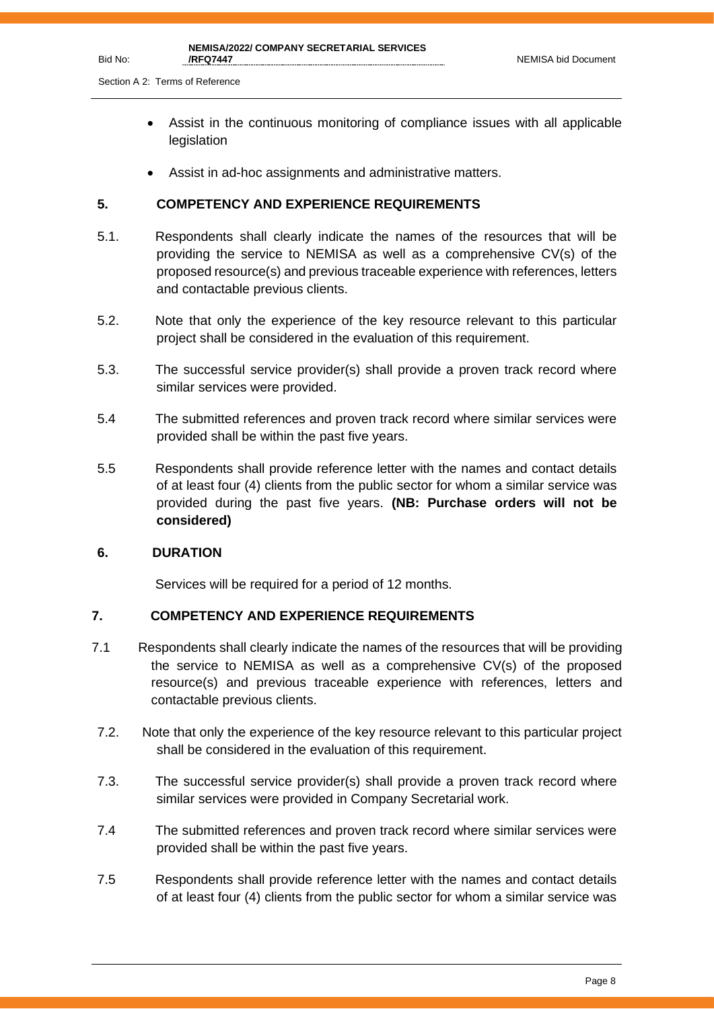Section A 2: Terms of Reference

- Assist in the continuous monitoring of compliance issues with all applicable legislation
- Assist in ad-hoc assignments and administrative matters.

## **5. COMPETENCY AND EXPERIENCE REQUIREMENTS**

- 5.1. Respondents shall clearly indicate the names of the resources that will be providing the service to NEMISA as well as a comprehensive CV(s) of the proposed resource(s) and previous traceable experience with references, letters and contactable previous clients.
- 5.2. Note that only the experience of the key resource relevant to this particular project shall be considered in the evaluation of this requirement.
- 5.3. The successful service provider(s) shall provide a proven track record where similar services were provided.
- 5.4 The submitted references and proven track record where similar services were provided shall be within the past five years.
- 5.5 Respondents shall provide reference letter with the names and contact details of at least four (4) clients from the public sector for whom a similar service was provided during the past five years. **(NB: Purchase orders will not be considered)**

#### **6. DURATION**

Services will be required for a period of 12 months.

## **7. COMPETENCY AND EXPERIENCE REQUIREMENTS**

- 7.1 Respondents shall clearly indicate the names of the resources that will be providing the service to NEMISA as well as a comprehensive CV(s) of the proposed resource(s) and previous traceable experience with references, letters and contactable previous clients.
- 7.2. Note that only the experience of the key resource relevant to this particular project shall be considered in the evaluation of this requirement.
- 7.3. The successful service provider(s) shall provide a proven track record where similar services were provided in Company Secretarial work.
- 7.4 The submitted references and proven track record where similar services were provided shall be within the past five years.
- 7.5 Respondents shall provide reference letter with the names and contact details of at least four (4) clients from the public sector for whom a similar service was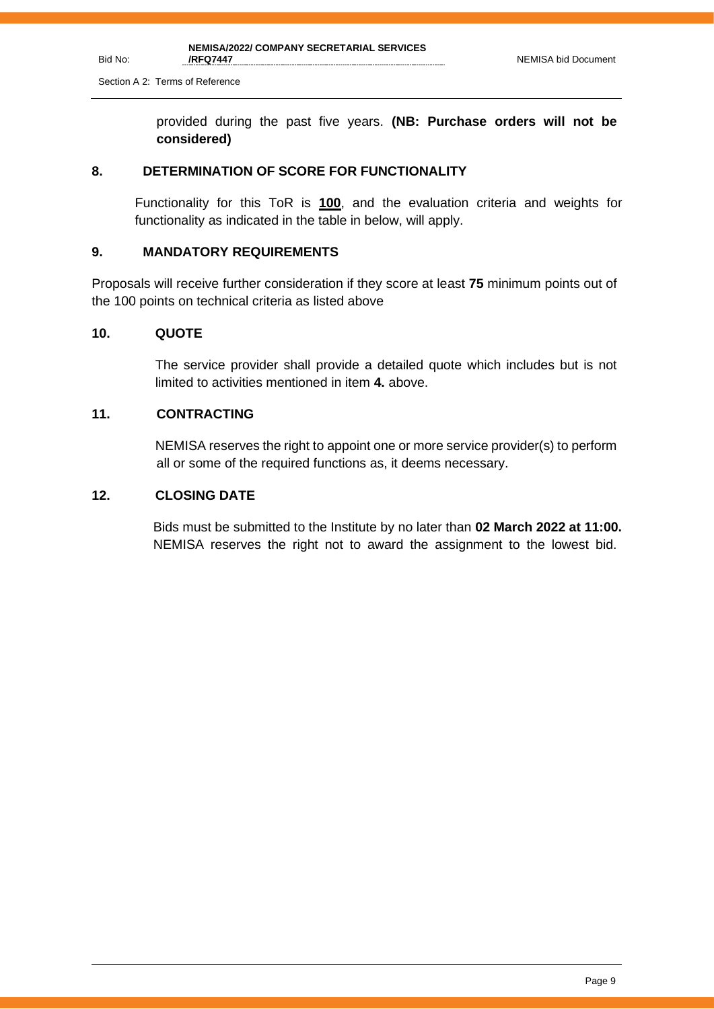provided during the past five years. **(NB: Purchase orders will not be considered)**

#### **8. DETERMINATION OF SCORE FOR FUNCTIONALITY**

Functionality for this ToR is **100**, and the evaluation criteria and weights for functionality as indicated in the table in below, will apply.

#### **9. MANDATORY REQUIREMENTS**

Proposals will receive further consideration if they score at least **75** minimum points out of the 100 points on technical criteria as listed above

#### **10. QUOTE**

The service provider shall provide a detailed quote which includes but is not limited to activities mentioned in item **4.** above.

## **11. CONTRACTING**

NEMISA reserves the right to appoint one or more service provider(s) to perform all or some of the required functions as, it deems necessary.

## **12. CLOSING DATE**

 Bids must be submitted to the Institute by no later than **02 March 2022 at 11:00.** NEMISA reserves the right not to award the assignment to the lowest bid.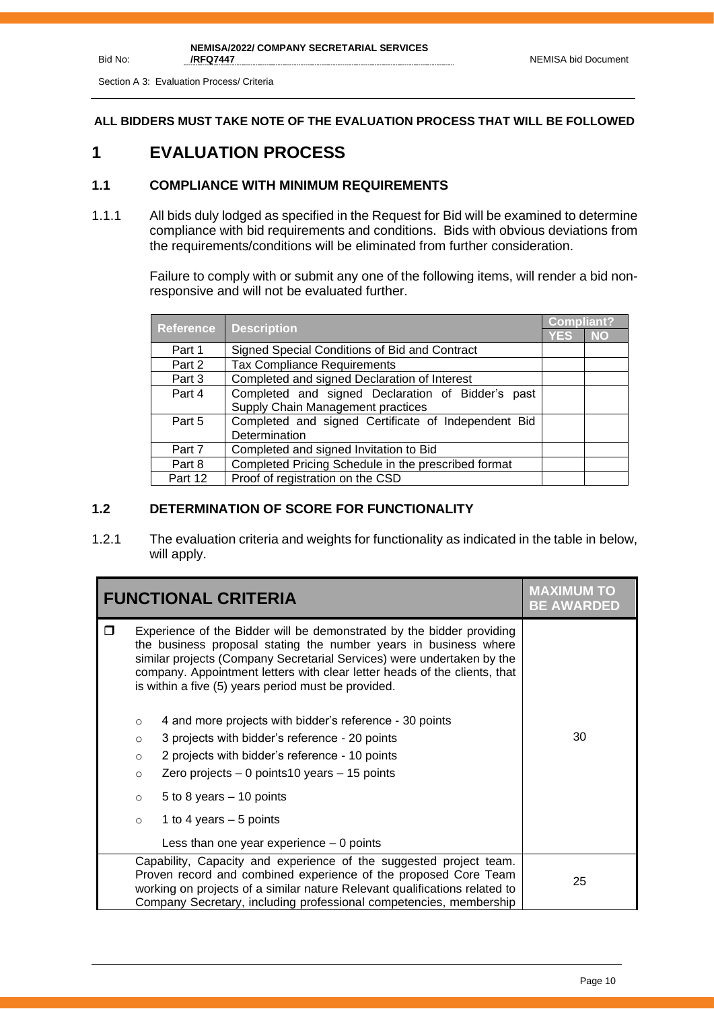Section A 3: Evaluation Process/ Criteria

Bid No:

**ALL BIDDERS MUST TAKE NOTE OF THE EVALUATION PROCESS THAT WILL BE FOLLOWED**

## **1 EVALUATION PROCESS**

## **1.1 COMPLIANCE WITH MINIMUM REQUIREMENTS**

1.1.1 All bids duly lodged as specified in the Request for Bid will be examined to determine compliance with bid requirements and conditions. Bids with obvious deviations from the requirements/conditions will be eliminated from further consideration.

> Failure to comply with or submit any one of the following items, will render a bid nonresponsive and will not be evaluated further.

|                  |                                                     |            | <b>Compliant?</b> |
|------------------|-----------------------------------------------------|------------|-------------------|
| <b>Reference</b> | <b>Description</b>                                  | <b>YES</b> | <b>NO</b>         |
| Part 1           | Signed Special Conditions of Bid and Contract       |            |                   |
| Part 2           | <b>Tax Compliance Requirements</b>                  |            |                   |
| Part 3           | Completed and signed Declaration of Interest        |            |                   |
| Part 4           | Completed and signed Declaration of Bidder's past   |            |                   |
|                  | Supply Chain Management practices                   |            |                   |
| Part 5           | Completed and signed Certificate of Independent Bid |            |                   |
|                  | Determination                                       |            |                   |
| Part 7           | Completed and signed Invitation to Bid              |            |                   |
| Part 8           | Completed Pricing Schedule in the prescribed format |            |                   |
| Part 12          | Proof of registration on the CSD                    |            |                   |

## **1.2 DETERMINATION OF SCORE FOR FUNCTIONALITY**

1.2.1 The evaluation criteria and weights for functionality as indicated in the table in below, will apply.

| <b>FUNCTIONAL CRITERIA</b> |                                                                | <b>MAXIMUM TO</b><br><b>BE AWARDED</b>                                                                                                                                                                                                                                                                                                                                                                                                                                                                                                                                                                                             |    |
|----------------------------|----------------------------------------------------------------|------------------------------------------------------------------------------------------------------------------------------------------------------------------------------------------------------------------------------------------------------------------------------------------------------------------------------------------------------------------------------------------------------------------------------------------------------------------------------------------------------------------------------------------------------------------------------------------------------------------------------------|----|
| ⊓                          | $\circ$<br>$\circ$<br>$\circ$<br>$\circ$<br>$\circ$<br>$\circ$ | Experience of the Bidder will be demonstrated by the bidder providing<br>the business proposal stating the number years in business where<br>similar projects (Company Secretarial Services) were undertaken by the<br>company. Appointment letters with clear letter heads of the clients, that<br>is within a five (5) years period must be provided.<br>4 and more projects with bidder's reference - 30 points<br>3 projects with bidder's reference - 20 points<br>2 projects with bidder's reference - 10 points<br>Zero projects $-0$ points 10 years $-15$ points<br>5 to 8 years $-10$ points<br>1 to 4 years $-5$ points | 30 |
|                            |                                                                | Less than one year experience $-0$ points                                                                                                                                                                                                                                                                                                                                                                                                                                                                                                                                                                                          |    |
|                            |                                                                | Capability, Capacity and experience of the suggested project team.<br>Proven record and combined experience of the proposed Core Team<br>working on projects of a similar nature Relevant qualifications related to<br>Company Secretary, including professional competencies, membership                                                                                                                                                                                                                                                                                                                                          | 25 |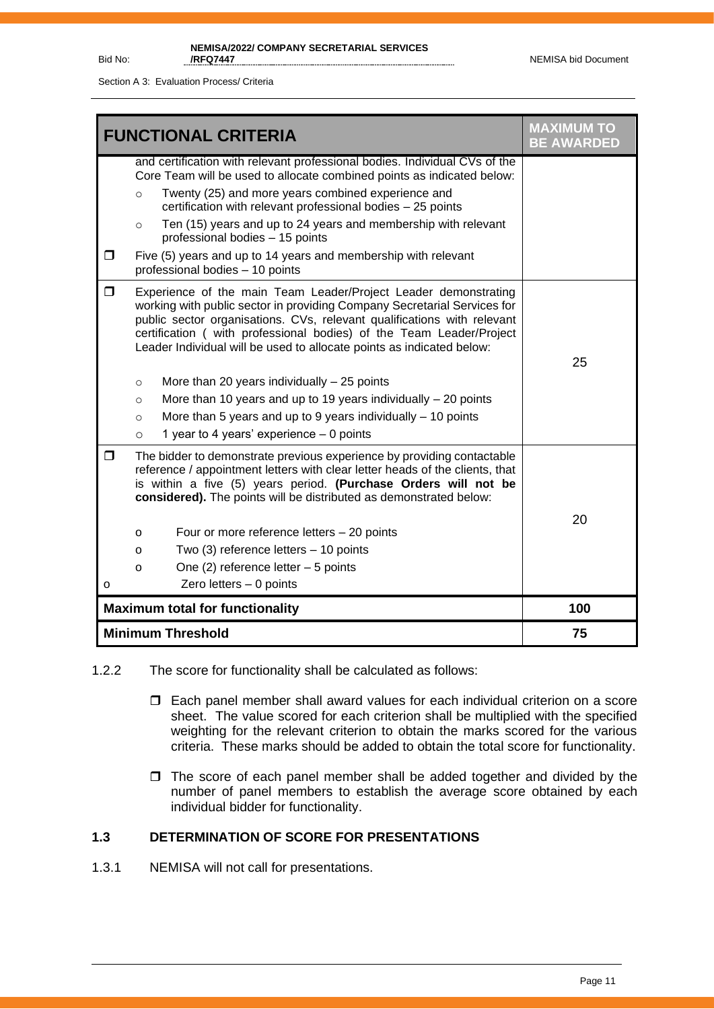Section A 3: Evaluation Process/ Criteria

|        | <b>FUNCTIONAL CRITERIA</b>                                                                                                                                                                                                                                                                                                                                              | <b>MAXIMUM TO</b><br><b>BE AWARDED</b> |
|--------|-------------------------------------------------------------------------------------------------------------------------------------------------------------------------------------------------------------------------------------------------------------------------------------------------------------------------------------------------------------------------|----------------------------------------|
|        | and certification with relevant professional bodies. Individual CVs of the<br>Core Team will be used to allocate combined points as indicated below:                                                                                                                                                                                                                    |                                        |
|        | Twenty (25) and more years combined experience and<br>$\circ$<br>certification with relevant professional bodies - 25 points                                                                                                                                                                                                                                            |                                        |
|        | Ten (15) years and up to 24 years and membership with relevant<br>$\circ$<br>professional bodies - 15 points                                                                                                                                                                                                                                                            |                                        |
| $\Box$ | Five (5) years and up to 14 years and membership with relevant<br>professional bodies - 10 points                                                                                                                                                                                                                                                                       |                                        |
| $\Box$ | Experience of the main Team Leader/Project Leader demonstrating<br>working with public sector in providing Company Secretarial Services for<br>public sector organisations. CVs, relevant qualifications with relevant<br>certification ( with professional bodies) of the Team Leader/Project<br>Leader Individual will be used to allocate points as indicated below: | 25                                     |
|        | More than 20 years individually $-25$ points<br>$\circ$                                                                                                                                                                                                                                                                                                                 |                                        |
|        | More than 10 years and up to 19 years individually $-20$ points<br>$\circ$                                                                                                                                                                                                                                                                                              |                                        |
|        | More than 5 years and up to 9 years individually $-$ 10 points<br>$\circ$                                                                                                                                                                                                                                                                                               |                                        |
|        | 1 year to 4 years' experience - 0 points<br>$\circ$                                                                                                                                                                                                                                                                                                                     |                                        |
| σ      | The bidder to demonstrate previous experience by providing contactable<br>reference / appointment letters with clear letter heads of the clients, that<br>is within a five (5) years period. (Purchase Orders will not be<br>considered). The points will be distributed as demonstrated below:                                                                         | 20                                     |
|        | Four or more reference letters - 20 points<br>0                                                                                                                                                                                                                                                                                                                         |                                        |
|        | Two (3) reference letters - 10 points<br>o                                                                                                                                                                                                                                                                                                                              |                                        |
|        | One $(2)$ reference letter $-5$ points<br>o                                                                                                                                                                                                                                                                                                                             |                                        |
| о      | Zero letters $-0$ points                                                                                                                                                                                                                                                                                                                                                |                                        |
|        | <b>Maximum total for functionality</b>                                                                                                                                                                                                                                                                                                                                  | 100                                    |
|        | <b>Minimum Threshold</b>                                                                                                                                                                                                                                                                                                                                                | 75                                     |

- 1.2.2 The score for functionality shall be calculated as follows:
	- Each panel member shall award values for each individual criterion on a score sheet. The value scored for each criterion shall be multiplied with the specified weighting for the relevant criterion to obtain the marks scored for the various criteria. These marks should be added to obtain the total score for functionality.
	- $\Box$  The score of each panel member shall be added together and divided by the number of panel members to establish the average score obtained by each individual bidder for functionality.

## **1.3 DETERMINATION OF SCORE FOR PRESENTATIONS**

1.3.1 NEMISA will not call for presentations.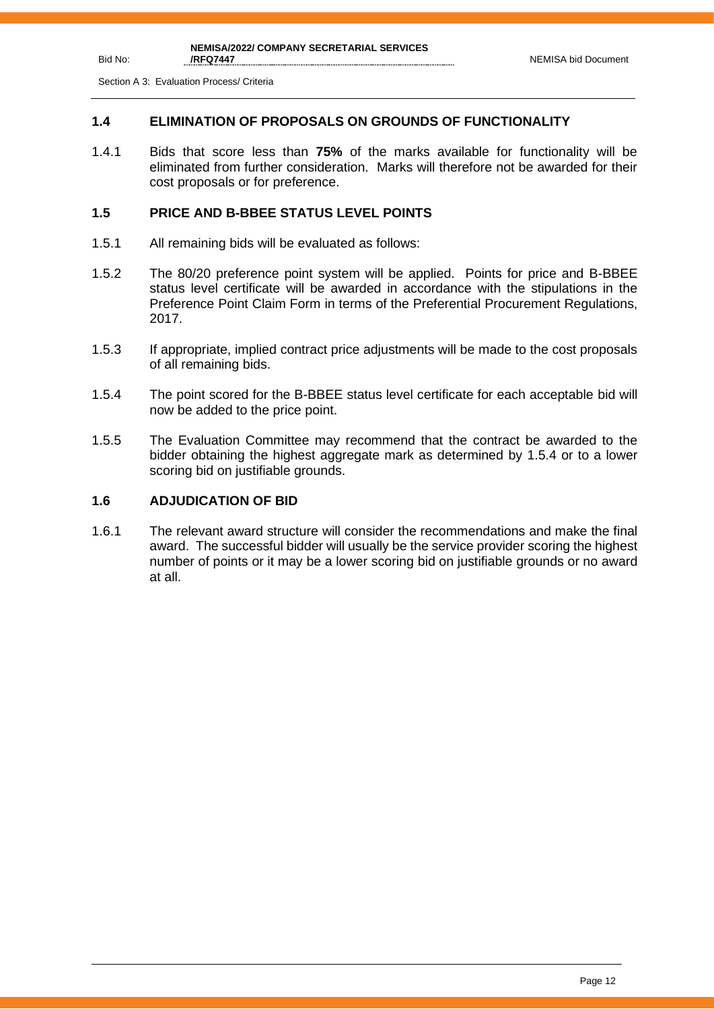Section A 3: Evaluation Process/ Criteria

Bid No:

## **1.4 ELIMINATION OF PROPOSALS ON GROUNDS OF FUNCTIONALITY**

1.4.1 Bids that score less than **75%** of the marks available for functionality will be eliminated from further consideration. Marks will therefore not be awarded for their cost proposals or for preference.

#### **1.5 PRICE AND B-BBEE STATUS LEVEL POINTS**

- 1.5.1 All remaining bids will be evaluated as follows:
- 1.5.2 The 80/20 preference point system will be applied. Points for price and B-BBEE status level certificate will be awarded in accordance with the stipulations in the Preference Point Claim Form in terms of the Preferential Procurement Regulations, 2017.
- 1.5.3 If appropriate, implied contract price adjustments will be made to the cost proposals of all remaining bids.
- 1.5.4 The point scored for the B-BBEE status level certificate for each acceptable bid will now be added to the price point.
- 1.5.5 The Evaluation Committee may recommend that the contract be awarded to the bidder obtaining the highest aggregate mark as determined by 1.5.4 or to a lower scoring bid on justifiable grounds.

## **1.6 ADJUDICATION OF BID**

1.6.1 The relevant award structure will consider the recommendations and make the final award. The successful bidder will usually be the service provider scoring the highest number of points or it may be a lower scoring bid on justifiable grounds or no award at all.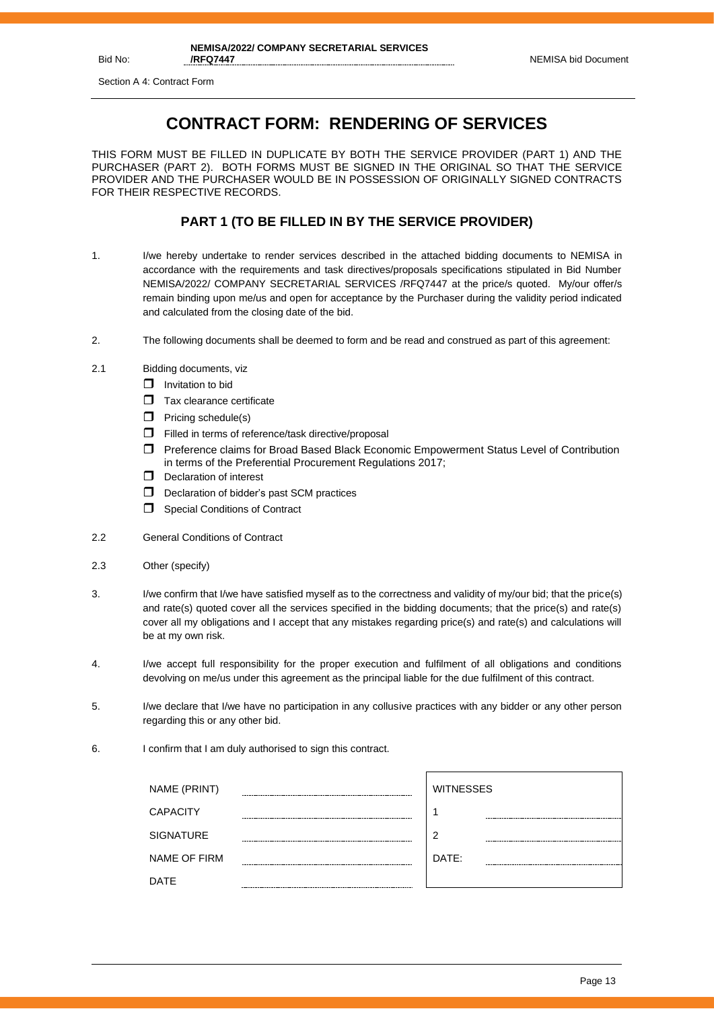Section A 4: Contract Form

## **CONTRACT FORM: RENDERING OF SERVICES**

THIS FORM MUST BE FILLED IN DUPLICATE BY BOTH THE SERVICE PROVIDER (PART 1) AND THE PURCHASER (PART 2). BOTH FORMS MUST BE SIGNED IN THE ORIGINAL SO THAT THE SERVICE PROVIDER AND THE PURCHASER WOULD BE IN POSSESSION OF ORIGINALLY SIGNED CONTRACTS FOR THEIR RESPECTIVE RECORDS.

## **PART 1 (TO BE FILLED IN BY THE SERVICE PROVIDER)**

- 1. I/we hereby undertake to render services described in the attached bidding documents to NEMISA in accordance with the requirements and task directives/proposals specifications stipulated in Bid Number NEMISA/2022/ COMPANY SECRETARIAL SERVICES /RFQ7447 at the price/s quoted. My/our offer/s remain binding upon me/us and open for acceptance by the Purchaser during the validity period indicated and calculated from the closing date of the bid.
- 2. The following documents shall be deemed to form and be read and construed as part of this agreement:
- 2.1 Bidding documents, viz
	- $\Box$  Invitation to bid
	- $\Box$  Tax clearance certificate
	- $\Box$  Pricing schedule(s)
	- $\Box$  Filled in terms of reference/task directive/proposal
	- Preference claims for Broad Based Black Economic Empowerment Status Level of Contribution in terms of the Preferential Procurement Regulations 2017;
	- $\Box$  Declaration of interest
	- D Declaration of bidder's past SCM practices
	- Special Conditions of Contract
- 2.2 General Conditions of Contract
- 2.3 Other (specify)
- 3. I/we confirm that I/we have satisfied myself as to the correctness and validity of my/our bid; that the price(s) and rate(s) quoted cover all the services specified in the bidding documents; that the price(s) and rate(s) cover all my obligations and I accept that any mistakes regarding price(s) and rate(s) and calculations will be at my own risk.
- 4. I/we accept full responsibility for the proper execution and fulfilment of all obligations and conditions devolving on me/us under this agreement as the principal liable for the due fulfilment of this contract.
- 5. I/we declare that I/we have no participation in any collusive practices with any bidder or any other person regarding this or any other bid.
- 6. I confirm that I am duly authorised to sign this contract.

| <b>WITNESSES</b> |
|------------------|
|                  |
|                  |
|                  |
| ◠                |
|                  |
| DATE:            |
|                  |
|                  |
|                  |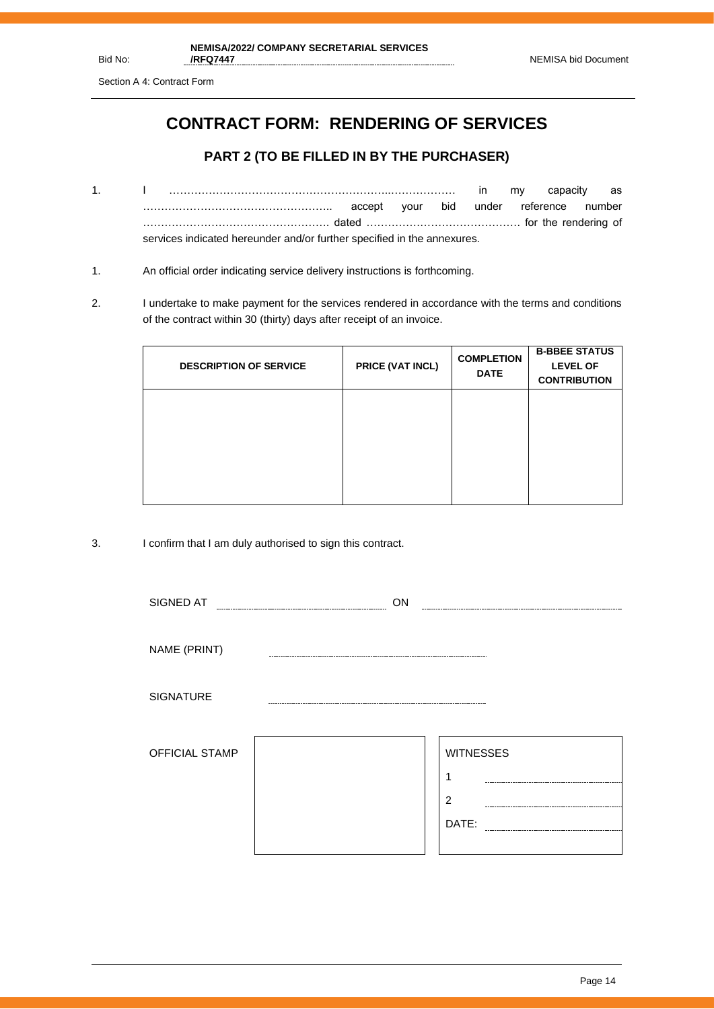Section A 4: Contract Form

## **CONTRACT FORM: RENDERING OF SERVICES**

## **PART 2 (TO BE FILLED IN BY THE PURCHASER)**

- 1. I ……………………………………………………..……………… in my capacity as …………………………………………….. accept your bid under reference number ……………………………………………. dated ……………………………………. for the rendering of services indicated hereunder and/or further specified in the annexures.
- 1. An official order indicating service delivery instructions is forthcoming.
- 2. I undertake to make payment for the services rendered in accordance with the terms and conditions of the contract within 30 (thirty) days after receipt of an invoice.

| <b>DESCRIPTION OF SERVICE</b> | PRICE (VAT INCL) | <b>COMPLETION</b><br><b>DATE</b> | <b>B-BBEE STATUS</b><br><b>LEVEL OF</b><br><b>CONTRIBUTION</b> |
|-------------------------------|------------------|----------------------------------|----------------------------------------------------------------|
|                               |                  |                                  |                                                                |
|                               |                  |                                  |                                                                |

3. I confirm that I am duly authorised to sign this contract.

| SIGNED AT             | ON |                                                  |
|-----------------------|----|--------------------------------------------------|
| NAME (PRINT)          |    |                                                  |
| <b>SIGNATURE</b>      |    |                                                  |
| <b>OFFICIAL STAMP</b> |    | <b>WITNESSES</b><br>1<br>$\overline{2}$<br>DATE: |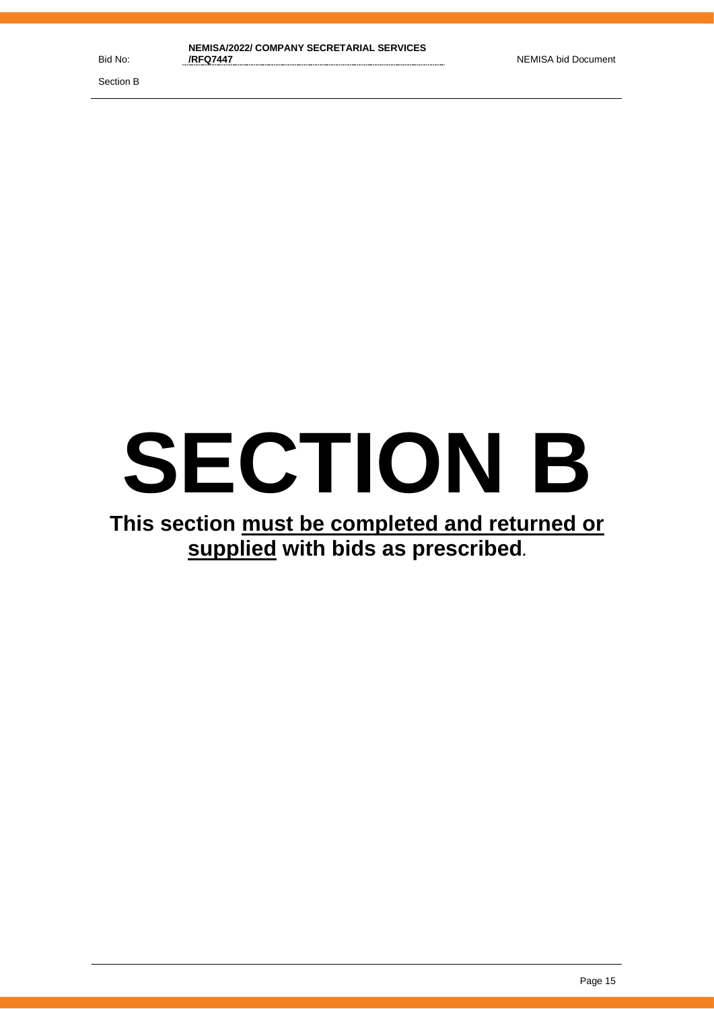Section B

# **SECTION B**

## **This section must be completed and returned or supplied with bids as prescribed.**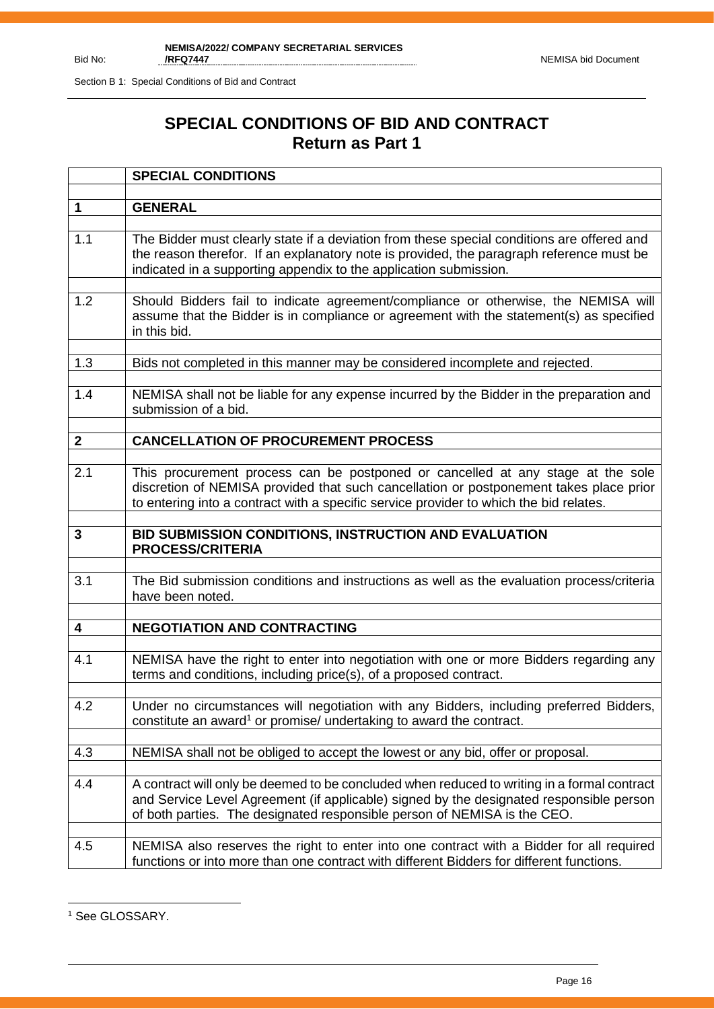## **SPECIAL CONDITIONS OF BID AND CONTRACT Return as Part 1**

|              | <b>SPECIAL CONDITIONS</b>                                                                                                                                                                                                                                           |
|--------------|---------------------------------------------------------------------------------------------------------------------------------------------------------------------------------------------------------------------------------------------------------------------|
|              |                                                                                                                                                                                                                                                                     |
| $\mathbf 1$  | <b>GENERAL</b>                                                                                                                                                                                                                                                      |
| 1.1          | The Bidder must clearly state if a deviation from these special conditions are offered and<br>the reason therefor. If an explanatory note is provided, the paragraph reference must be<br>indicated in a supporting appendix to the application submission.         |
| 1.2          | Should Bidders fail to indicate agreement/compliance or otherwise, the NEMISA will<br>assume that the Bidder is in compliance or agreement with the statement(s) as specified<br>in this bid.                                                                       |
| 1.3          | Bids not completed in this manner may be considered incomplete and rejected.                                                                                                                                                                                        |
| 1.4          | NEMISA shall not be liable for any expense incurred by the Bidder in the preparation and<br>submission of a bid.                                                                                                                                                    |
| $\mathbf{2}$ | <b>CANCELLATION OF PROCUREMENT PROCESS</b>                                                                                                                                                                                                                          |
|              |                                                                                                                                                                                                                                                                     |
| 2.1          | This procurement process can be postponed or cancelled at any stage at the sole<br>discretion of NEMISA provided that such cancellation or postponement takes place prior<br>to entering into a contract with a specific service provider to which the bid relates. |
|              |                                                                                                                                                                                                                                                                     |
| 3            | BID SUBMISSION CONDITIONS, INSTRUCTION AND EVALUATION<br><b>PROCESS/CRITERIA</b>                                                                                                                                                                                    |
| 3.1          | The Bid submission conditions and instructions as well as the evaluation process/criteria<br>have been noted.                                                                                                                                                       |
| 4            | <b>NEGOTIATION AND CONTRACTING</b>                                                                                                                                                                                                                                  |
|              |                                                                                                                                                                                                                                                                     |
| 4.1          | NEMISA have the right to enter into negotiation with one or more Bidders regarding any<br>terms and conditions, including price(s), of a proposed contract.                                                                                                         |
| 4.2          | Under no circumstances will negotiation with any Bidders, including preferred Bidders,<br>constitute an award <sup>1</sup> or promise/ undertaking to award the contract.                                                                                           |
| 4.3          | NEMISA shall not be obliged to accept the lowest or any bid, offer or proposal.                                                                                                                                                                                     |
| 4.4          | A contract will only be deemed to be concluded when reduced to writing in a formal contract<br>and Service Level Agreement (if applicable) signed by the designated responsible person<br>of both parties. The designated responsible person of NEMISA is the CEO.  |
| 4.5          | NEMISA also reserves the right to enter into one contract with a Bidder for all required                                                                                                                                                                            |

<sup>&</sup>lt;sup>1</sup> See GLOSSARY.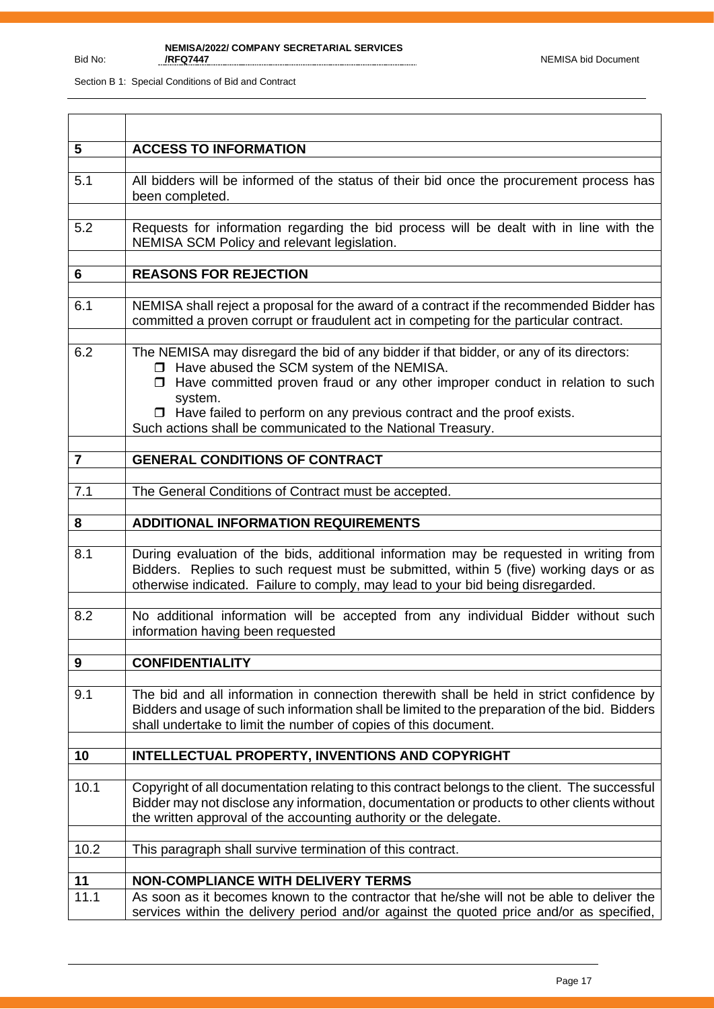| 5                | <b>ACCESS TO INFORMATION</b>                                                                                                                                                                                                                                        |
|------------------|---------------------------------------------------------------------------------------------------------------------------------------------------------------------------------------------------------------------------------------------------------------------|
| 5.1              | All bidders will be informed of the status of their bid once the procurement process has<br>been completed.                                                                                                                                                         |
| 5.2              | Requests for information regarding the bid process will be dealt with in line with the<br>NEMISA SCM Policy and relevant legislation.                                                                                                                               |
| 6                | <b>REASONS FOR REJECTION</b>                                                                                                                                                                                                                                        |
|                  |                                                                                                                                                                                                                                                                     |
| 6.1              | NEMISA shall reject a proposal for the award of a contract if the recommended Bidder has<br>committed a proven corrupt or fraudulent act in competing for the particular contract.                                                                                  |
| 6.2              | The NEMISA may disregard the bid of any bidder if that bidder, or any of its directors:<br>□ Have abused the SCM system of the NEMISA.<br>$\Box$ Have committed proven fraud or any other improper conduct in relation to such                                      |
|                  | system.<br>$\Box$ Have failed to perform on any previous contract and the proof exists.<br>Such actions shall be communicated to the National Treasury.                                                                                                             |
| $\overline{7}$   | <b>GENERAL CONDITIONS OF CONTRACT</b>                                                                                                                                                                                                                               |
|                  |                                                                                                                                                                                                                                                                     |
| 7.1              | The General Conditions of Contract must be accepted.                                                                                                                                                                                                                |
| 8                | <b>ADDITIONAL INFORMATION REQUIREMENTS</b>                                                                                                                                                                                                                          |
| 8.1              | During evaluation of the bids, additional information may be requested in writing from<br>Bidders. Replies to such request must be submitted, within 5 (five) working days or as<br>otherwise indicated. Failure to comply, may lead to your bid being disregarded. |
| 8.2              | No additional information will be accepted from any individual Bidder without such<br>information having been requested                                                                                                                                             |
|                  |                                                                                                                                                                                                                                                                     |
| $\boldsymbol{9}$ | <b>CONFIDENTIALITY</b>                                                                                                                                                                                                                                              |
| 9.1              | The bid and all information in connection therewith shall be held in strict confidence by<br>Bidders and usage of such information shall be limited to the preparation of the bid. Bidders<br>shall undertake to limit the number of copies of this document.       |
|                  | INTELLECTUAL PROPERTY, INVENTIONS AND COPYRIGHT                                                                                                                                                                                                                     |
| 10               |                                                                                                                                                                                                                                                                     |
| 10.1             | Copyright of all documentation relating to this contract belongs to the client. The successful<br>Bidder may not disclose any information, documentation or products to other clients without<br>the written approval of the accounting authority or the delegate.  |
| 10.2             | This paragraph shall survive termination of this contract.                                                                                                                                                                                                          |
|                  |                                                                                                                                                                                                                                                                     |
| 11               | <b>NON-COMPLIANCE WITH DELIVERY TERMS</b>                                                                                                                                                                                                                           |
| 11.1             | As soon as it becomes known to the contractor that he/she will not be able to deliver the<br>services within the delivery period and/or against the quoted price and/or as specified,                                                                               |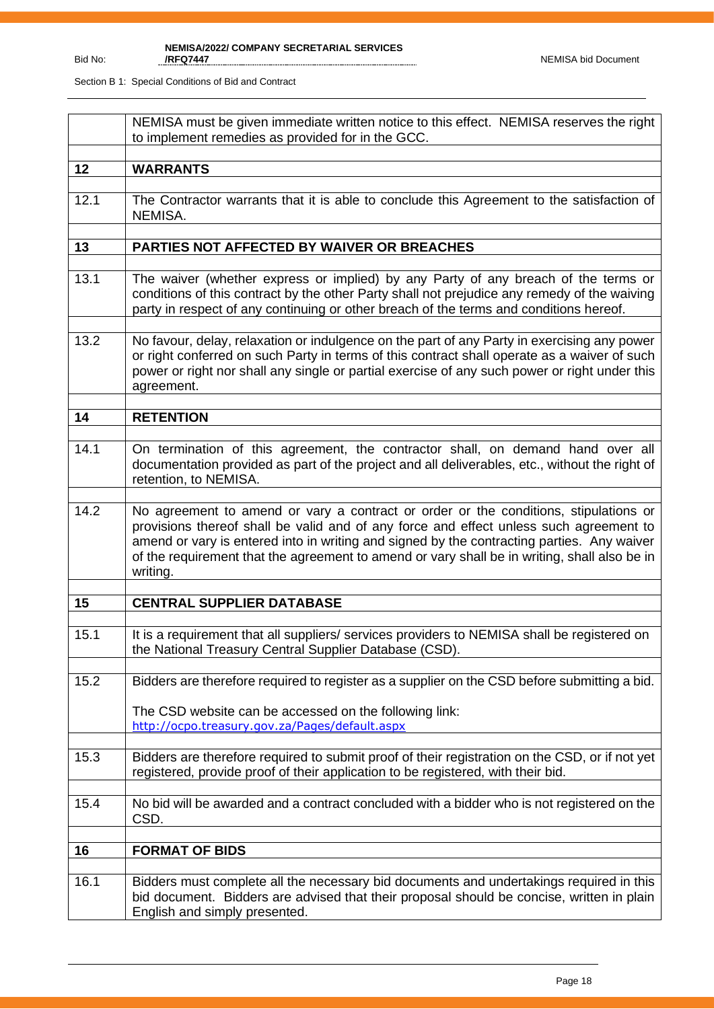|      | NEMISA must be given immediate written notice to this effect. NEMISA reserves the right<br>to implement remedies as provided for in the GCC.                                                                                                                                                                                                                                             |
|------|------------------------------------------------------------------------------------------------------------------------------------------------------------------------------------------------------------------------------------------------------------------------------------------------------------------------------------------------------------------------------------------|
| 12   | <b>WARRANTS</b>                                                                                                                                                                                                                                                                                                                                                                          |
| 12.1 | The Contractor warrants that it is able to conclude this Agreement to the satisfaction of<br>NEMISA.                                                                                                                                                                                                                                                                                     |
| 13   | PARTIES NOT AFFECTED BY WAIVER OR BREACHES                                                                                                                                                                                                                                                                                                                                               |
| 13.1 | The waiver (whether express or implied) by any Party of any breach of the terms or<br>conditions of this contract by the other Party shall not prejudice any remedy of the waiving<br>party in respect of any continuing or other breach of the terms and conditions hereof.                                                                                                             |
| 13.2 | No favour, delay, relaxation or indulgence on the part of any Party in exercising any power<br>or right conferred on such Party in terms of this contract shall operate as a waiver of such<br>power or right nor shall any single or partial exercise of any such power or right under this<br>agreement.                                                                               |
| 14   | <b>RETENTION</b>                                                                                                                                                                                                                                                                                                                                                                         |
| 14.1 | On termination of this agreement, the contractor shall, on demand hand over all<br>documentation provided as part of the project and all deliverables, etc., without the right of<br>retention, to NEMISA.                                                                                                                                                                               |
| 14.2 | No agreement to amend or vary a contract or order or the conditions, stipulations or<br>provisions thereof shall be valid and of any force and effect unless such agreement to<br>amend or vary is entered into in writing and signed by the contracting parties. Any waiver<br>of the requirement that the agreement to amend or vary shall be in writing, shall also be in<br>writing. |
| 15   | <b>CENTRAL SUPPLIER DATABASE</b>                                                                                                                                                                                                                                                                                                                                                         |
|      |                                                                                                                                                                                                                                                                                                                                                                                          |
| 15.1 | It is a requirement that all suppliers/services providers to NEMISA shall be registered on<br>the National Treasury Central Supplier Database (CSD).                                                                                                                                                                                                                                     |
| 15.2 | Bidders are therefore required to register as a supplier on the CSD before submitting a bid.                                                                                                                                                                                                                                                                                             |
|      | The CSD website can be accessed on the following link:<br>http://ocpo.treasury.gov.za/Pages/default.aspx                                                                                                                                                                                                                                                                                 |
| 15.3 | Bidders are therefore required to submit proof of their registration on the CSD, or if not yet<br>registered, provide proof of their application to be registered, with their bid.                                                                                                                                                                                                       |
| 15.4 | No bid will be awarded and a contract concluded with a bidder who is not registered on the<br>CSD.                                                                                                                                                                                                                                                                                       |
| 16   | <b>FORMAT OF BIDS</b>                                                                                                                                                                                                                                                                                                                                                                    |
| 16.1 | Bidders must complete all the necessary bid documents and undertakings required in this<br>bid document. Bidders are advised that their proposal should be concise, written in plain<br>English and simply presented.                                                                                                                                                                    |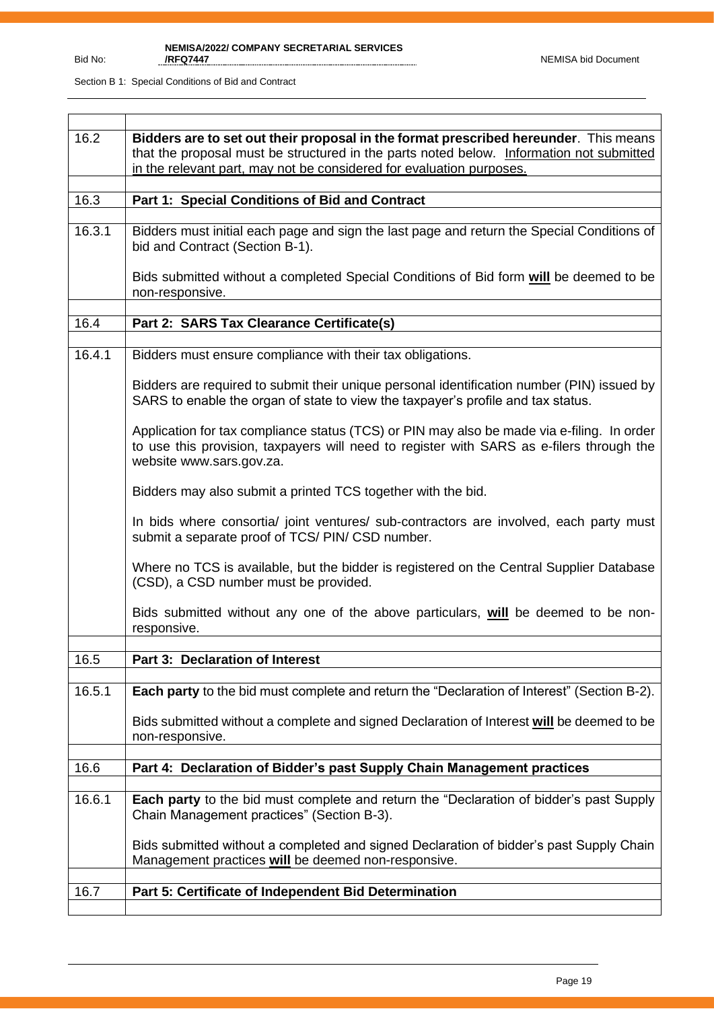| 16.2   | Bidders are to set out their proposal in the format prescribed hereunder. This means<br>that the proposal must be structured in the parts noted below. Information not submitted<br>in the relevant part, may not be considered for evaluation purposes. |
|--------|----------------------------------------------------------------------------------------------------------------------------------------------------------------------------------------------------------------------------------------------------------|
|        |                                                                                                                                                                                                                                                          |
| 16.3   | Part 1: Special Conditions of Bid and Contract                                                                                                                                                                                                           |
| 16.3.1 | Bidders must initial each page and sign the last page and return the Special Conditions of<br>bid and Contract (Section B-1).                                                                                                                            |
|        | Bids submitted without a completed Special Conditions of Bid form will be deemed to be<br>non-responsive.                                                                                                                                                |
|        |                                                                                                                                                                                                                                                          |
| 16.4   | Part 2: SARS Tax Clearance Certificate(s)                                                                                                                                                                                                                |
|        |                                                                                                                                                                                                                                                          |
| 16.4.1 | Bidders must ensure compliance with their tax obligations.                                                                                                                                                                                               |
|        | Bidders are required to submit their unique personal identification number (PIN) issued by<br>SARS to enable the organ of state to view the taxpayer's profile and tax status.                                                                           |
|        | Application for tax compliance status (TCS) or PIN may also be made via e-filing. In order<br>to use this provision, taxpayers will need to register with SARS as e-filers through the<br>website www.sars.gov.za.                                       |
|        | Bidders may also submit a printed TCS together with the bid.                                                                                                                                                                                             |
|        | In bids where consortia/ joint ventures/ sub-contractors are involved, each party must<br>submit a separate proof of TCS/ PIN/ CSD number.                                                                                                               |
|        | Where no TCS is available, but the bidder is registered on the Central Supplier Database<br>(CSD), a CSD number must be provided.                                                                                                                        |
|        | Bids submitted without any one of the above particulars, will be deemed to be non-<br>responsive.                                                                                                                                                        |
|        |                                                                                                                                                                                                                                                          |
| 16.5   | <b>Part 3: Declaration of Interest</b>                                                                                                                                                                                                                   |
|        |                                                                                                                                                                                                                                                          |
| 16.5.1 | Each party to the bid must complete and return the "Declaration of Interest" (Section B-2).                                                                                                                                                              |
|        | Bids submitted without a complete and signed Declaration of Interest will be deemed to be<br>non-responsive.                                                                                                                                             |
|        |                                                                                                                                                                                                                                                          |
| 16.6   | Part 4: Declaration of Bidder's past Supply Chain Management practices                                                                                                                                                                                   |
|        |                                                                                                                                                                                                                                                          |
| 16.6.1 | Each party to the bid must complete and return the "Declaration of bidder's past Supply<br>Chain Management practices" (Section B-3).                                                                                                                    |
|        | Bids submitted without a completed and signed Declaration of bidder's past Supply Chain<br>Management practices will be deemed non-responsive.                                                                                                           |
|        |                                                                                                                                                                                                                                                          |
| 16.7   | Part 5: Certificate of Independent Bid Determination                                                                                                                                                                                                     |
|        |                                                                                                                                                                                                                                                          |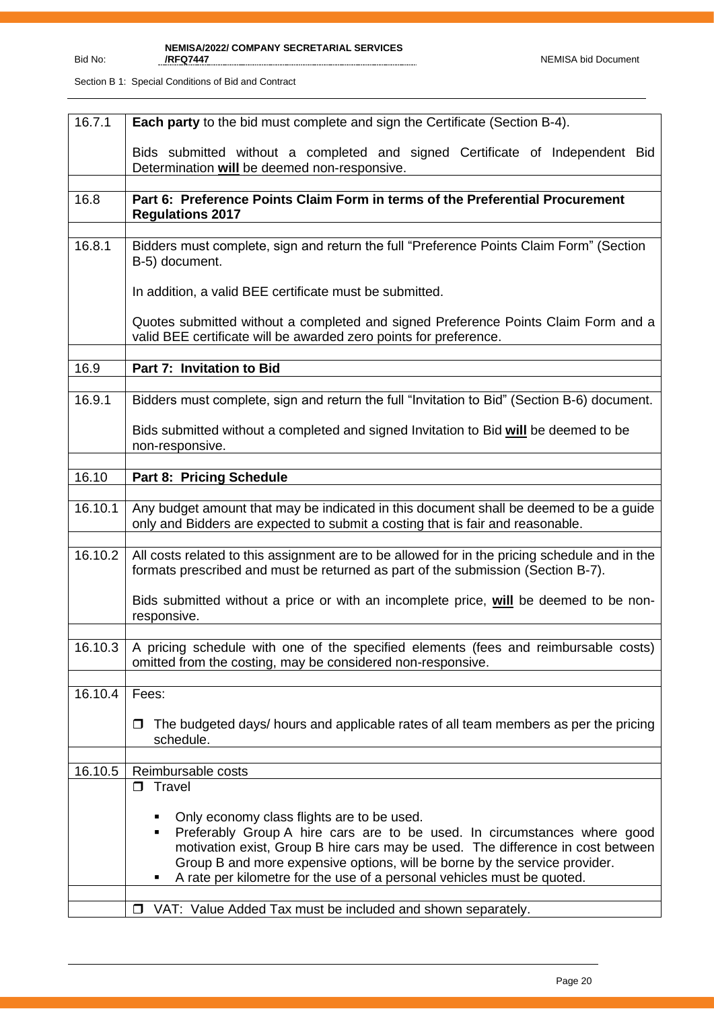| 16.7.1  | <b>Each party</b> to the bid must complete and sign the Certificate (Section B-4).                                                                                                                                                                                                                                                                                      |  |  |  |  |  |
|---------|-------------------------------------------------------------------------------------------------------------------------------------------------------------------------------------------------------------------------------------------------------------------------------------------------------------------------------------------------------------------------|--|--|--|--|--|
|         | Bids submitted without a completed and signed Certificate of Independent Bid<br>Determination will be deemed non-responsive.                                                                                                                                                                                                                                            |  |  |  |  |  |
|         |                                                                                                                                                                                                                                                                                                                                                                         |  |  |  |  |  |
| 16.8    | Part 6: Preference Points Claim Form in terms of the Preferential Procurement<br><b>Regulations 2017</b>                                                                                                                                                                                                                                                                |  |  |  |  |  |
| 16.8.1  |                                                                                                                                                                                                                                                                                                                                                                         |  |  |  |  |  |
|         | Bidders must complete, sign and return the full "Preference Points Claim Form" (Section<br>B-5) document.                                                                                                                                                                                                                                                               |  |  |  |  |  |
|         | In addition, a valid BEE certificate must be submitted.                                                                                                                                                                                                                                                                                                                 |  |  |  |  |  |
|         | Quotes submitted without a completed and signed Preference Points Claim Form and a<br>valid BEE certificate will be awarded zero points for preference.                                                                                                                                                                                                                 |  |  |  |  |  |
| 16.9    | Part 7: Invitation to Bid                                                                                                                                                                                                                                                                                                                                               |  |  |  |  |  |
|         |                                                                                                                                                                                                                                                                                                                                                                         |  |  |  |  |  |
| 16.9.1  | Bidders must complete, sign and return the full "Invitation to Bid" (Section B-6) document.                                                                                                                                                                                                                                                                             |  |  |  |  |  |
|         | Bids submitted without a completed and signed Invitation to Bid will be deemed to be<br>non-responsive.                                                                                                                                                                                                                                                                 |  |  |  |  |  |
|         |                                                                                                                                                                                                                                                                                                                                                                         |  |  |  |  |  |
| 16.10   | Part 8: Pricing Schedule                                                                                                                                                                                                                                                                                                                                                |  |  |  |  |  |
| 16.10.1 | Any budget amount that may be indicated in this document shall be deemed to be a guide<br>only and Bidders are expected to submit a costing that is fair and reasonable.                                                                                                                                                                                                |  |  |  |  |  |
| 16.10.2 | All costs related to this assignment are to be allowed for in the pricing schedule and in the<br>formats prescribed and must be returned as part of the submission (Section B-7).                                                                                                                                                                                       |  |  |  |  |  |
|         | Bids submitted without a price or with an incomplete price, will be deemed to be non-<br>responsive.                                                                                                                                                                                                                                                                    |  |  |  |  |  |
| 16.10.3 | A pricing schedule with one of the specified elements (fees and reimbursable costs)<br>omitted from the costing, may be considered non-responsive.                                                                                                                                                                                                                      |  |  |  |  |  |
| 16.10.4 | Fees:                                                                                                                                                                                                                                                                                                                                                                   |  |  |  |  |  |
|         |                                                                                                                                                                                                                                                                                                                                                                         |  |  |  |  |  |
|         | The budgeted days/ hours and applicable rates of all team members as per the pricing<br>□<br>schedule.                                                                                                                                                                                                                                                                  |  |  |  |  |  |
|         |                                                                                                                                                                                                                                                                                                                                                                         |  |  |  |  |  |
| 16.10.5 | Reimbursable costs                                                                                                                                                                                                                                                                                                                                                      |  |  |  |  |  |
|         | $\Box$ Travel                                                                                                                                                                                                                                                                                                                                                           |  |  |  |  |  |
|         | Only economy class flights are to be used.<br>Preferably Group A hire cars are to be used. In circumstances where good<br>٠<br>motivation exist, Group B hire cars may be used. The difference in cost between<br>Group B and more expensive options, will be borne by the service provider.<br>A rate per kilometre for the use of a personal vehicles must be quoted. |  |  |  |  |  |
|         | VAT: Value Added Tax must be included and shown separately.<br>$\Box$                                                                                                                                                                                                                                                                                                   |  |  |  |  |  |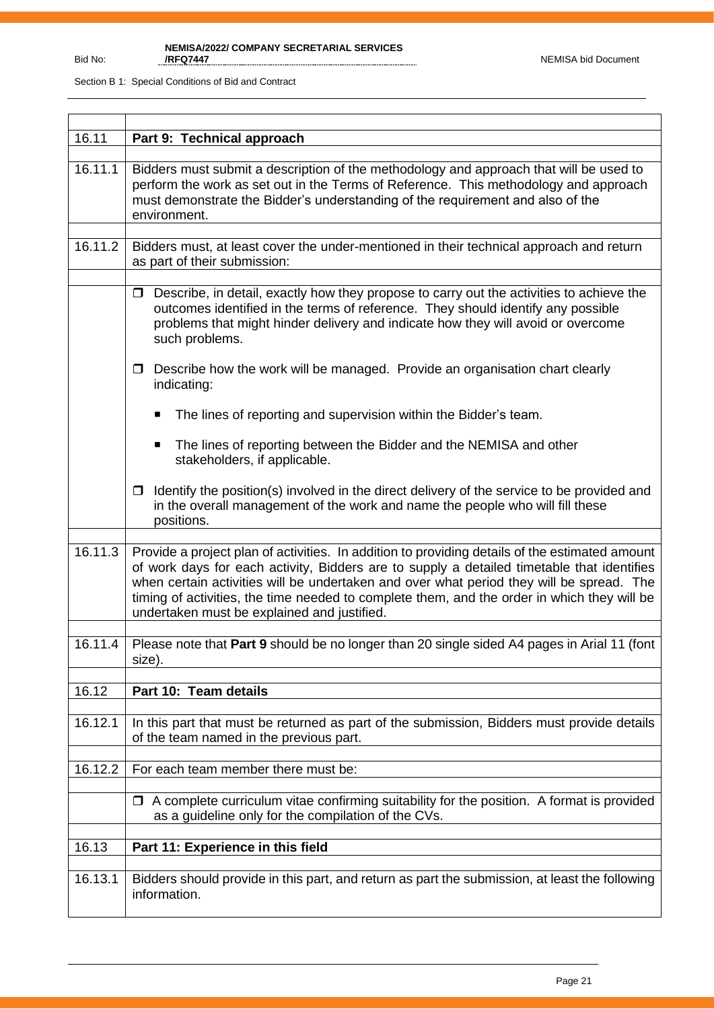| 16.11   | Part 9: Technical approach                                                                                                                                                                                                                                                                                                                                                                                                             |  |  |  |  |  |
|---------|----------------------------------------------------------------------------------------------------------------------------------------------------------------------------------------------------------------------------------------------------------------------------------------------------------------------------------------------------------------------------------------------------------------------------------------|--|--|--|--|--|
| 16.11.1 | Bidders must submit a description of the methodology and approach that will be used to<br>perform the work as set out in the Terms of Reference. This methodology and approach<br>must demonstrate the Bidder's understanding of the requirement and also of the<br>environment.                                                                                                                                                       |  |  |  |  |  |
| 16.11.2 | Bidders must, at least cover the under-mentioned in their technical approach and return<br>as part of their submission:                                                                                                                                                                                                                                                                                                                |  |  |  |  |  |
|         | $\Box$ Describe, in detail, exactly how they propose to carry out the activities to achieve the<br>outcomes identified in the terms of reference. They should identify any possible<br>problems that might hinder delivery and indicate how they will avoid or overcome<br>such problems.                                                                                                                                              |  |  |  |  |  |
|         | Describe how the work will be managed. Provide an organisation chart clearly<br>□<br>indicating:                                                                                                                                                                                                                                                                                                                                       |  |  |  |  |  |
|         | The lines of reporting and supervision within the Bidder's team.                                                                                                                                                                                                                                                                                                                                                                       |  |  |  |  |  |
|         | The lines of reporting between the Bidder and the NEMISA and other<br>stakeholders, if applicable.                                                                                                                                                                                                                                                                                                                                     |  |  |  |  |  |
|         | Identify the position(s) involved in the direct delivery of the service to be provided and<br>□<br>in the overall management of the work and name the people who will fill these<br>positions.                                                                                                                                                                                                                                         |  |  |  |  |  |
|         |                                                                                                                                                                                                                                                                                                                                                                                                                                        |  |  |  |  |  |
| 16.11.3 | Provide a project plan of activities. In addition to providing details of the estimated amount<br>of work days for each activity, Bidders are to supply a detailed timetable that identifies<br>when certain activities will be undertaken and over what period they will be spread. The<br>timing of activities, the time needed to complete them, and the order in which they will be<br>undertaken must be explained and justified. |  |  |  |  |  |
| 16.11.4 | Please note that Part 9 should be no longer than 20 single sided A4 pages in Arial 11 (font                                                                                                                                                                                                                                                                                                                                            |  |  |  |  |  |
|         | size).                                                                                                                                                                                                                                                                                                                                                                                                                                 |  |  |  |  |  |
| 16.12   | Part 10: Team details                                                                                                                                                                                                                                                                                                                                                                                                                  |  |  |  |  |  |
|         |                                                                                                                                                                                                                                                                                                                                                                                                                                        |  |  |  |  |  |
| 16.12.1 | In this part that must be returned as part of the submission, Bidders must provide details<br>of the team named in the previous part.                                                                                                                                                                                                                                                                                                  |  |  |  |  |  |
| 16.12.2 | For each team member there must be:                                                                                                                                                                                                                                                                                                                                                                                                    |  |  |  |  |  |
|         | $\Box$ A complete curriculum vitae confirming suitability for the position. A format is provided<br>as a guideline only for the compilation of the CVs.                                                                                                                                                                                                                                                                                |  |  |  |  |  |
| 16.13   | Part 11: Experience in this field                                                                                                                                                                                                                                                                                                                                                                                                      |  |  |  |  |  |
|         |                                                                                                                                                                                                                                                                                                                                                                                                                                        |  |  |  |  |  |
| 16.13.1 | Bidders should provide in this part, and return as part the submission, at least the following<br>information.                                                                                                                                                                                                                                                                                                                         |  |  |  |  |  |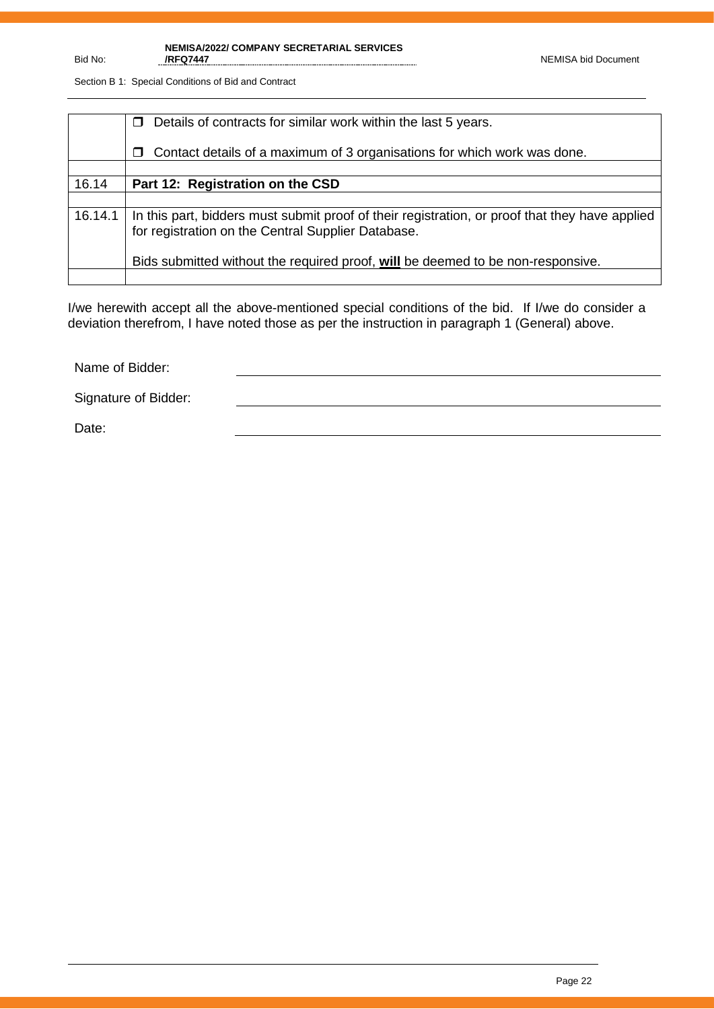**NEMISA/2022/ COMPANY SECRETARIAL SERVICES /RFQ7447** NEMISA bid Document

Section B 1: Special Conditions of Bid and Contract

|         | Details of contracts for similar work within the last 5 years.                                                                                       |
|---------|------------------------------------------------------------------------------------------------------------------------------------------------------|
|         | Contact details of a maximum of 3 organisations for which work was done.<br>□                                                                        |
|         |                                                                                                                                                      |
| 16.14   | Part 12: Registration on the CSD                                                                                                                     |
|         |                                                                                                                                                      |
| 16.14.1 | In this part, bidders must submit proof of their registration, or proof that they have applied<br>for registration on the Central Supplier Database. |
|         | Bids submitted without the required proof, will be deemed to be non-responsive.                                                                      |
|         |                                                                                                                                                      |

I/we herewith accept all the above-mentioned special conditions of the bid. If I/we do consider a deviation therefrom, I have noted those as per the instruction in paragraph 1 (General) above.

Name of Bidder:

Signature of Bidder:

Date: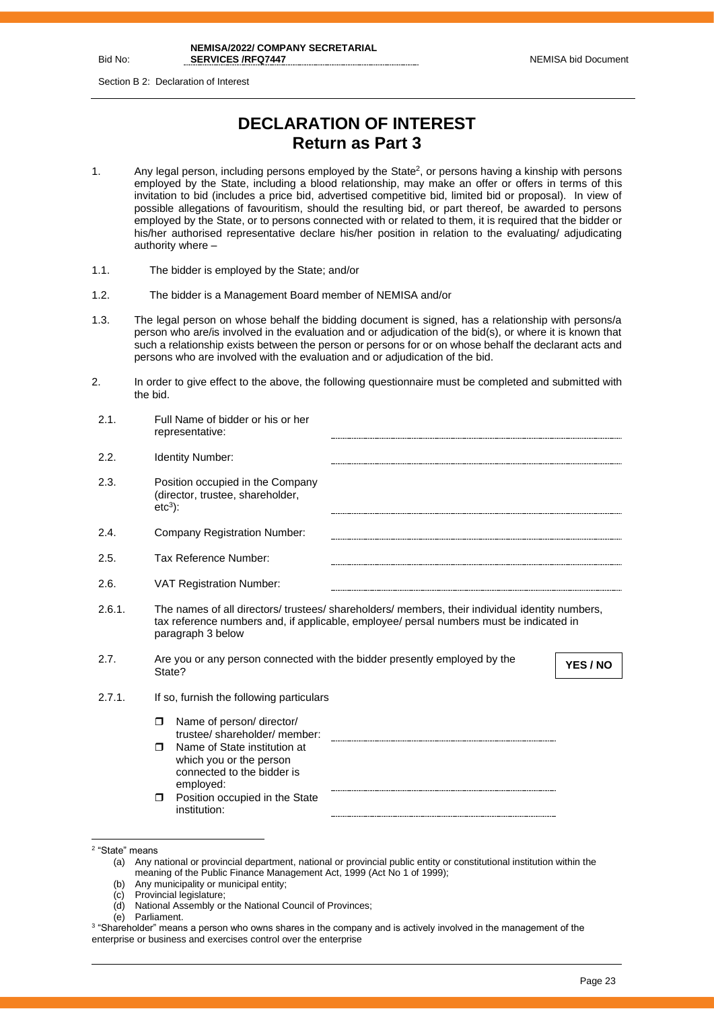Bid No:

Section B 2: Declaration of Interest

## **DECLARATION OF INTEREST Return as Part 3**

- 1. Any legal person, including persons employed by the State<sup>2</sup>, or persons having a kinship with persons employed by the State, including a blood relationship, may make an offer or offers in terms of this invitation to bid (includes a price bid, advertised competitive bid, limited bid or proposal). In view of possible allegations of favouritism, should the resulting bid, or part thereof, be awarded to persons employed by the State, or to persons connected with or related to them, it is required that the bidder or his/her authorised representative declare his/her position in relation to the evaluating/ adjudicating authority where –
- 1.1. The bidder is employed by the State; and/or
- 1.2. The bidder is a Management Board member of NEMISA and/or
- 1.3. The legal person on whose behalf the bidding document is signed, has a relationship with persons/a person who are/is involved in the evaluation and or adjudication of the bid(s), or where it is known that such a relationship exists between the person or persons for or on whose behalf the declarant acts and persons who are involved with the evaluation and or adjudication of the bid.
- 2. In order to give effect to the above, the following questionnaire must be completed and submitted with the bid.

| 2.1.   | Full Name of bidder or his or her<br>representative:                                                                                                                                                            |
|--------|-----------------------------------------------------------------------------------------------------------------------------------------------------------------------------------------------------------------|
| 2.2.   | <b>Identity Number:</b>                                                                                                                                                                                         |
| 2.3.   | Position occupied in the Company<br>(director, trustee, shareholder,<br>$etc3$ :                                                                                                                                |
| 2.4.   | <b>Company Registration Number:</b>                                                                                                                                                                             |
| 2.5.   | Tax Reference Number:                                                                                                                                                                                           |
| 2.6.   | <b>VAT Registration Number:</b>                                                                                                                                                                                 |
| 2.6.1. | The names of all directors/ trustees/ shareholders/ members, their individual identity numbers,<br>tax reference numbers and, if applicable, employee/ persal numbers must be indicated in<br>paragraph 3 below |
| 2.7.   | Are you or any person connected with the bidder presently employed by the<br>YES / NO<br>State?                                                                                                                 |
| 2.7.1. | If so, furnish the following particulars                                                                                                                                                                        |
|        | Name of person/ director/<br>$\Box$<br>trustee/shareholder/member:<br>Name of State institution at<br>$\Box$<br>which you or the person<br>connected to the bidder is                                           |
|        | employed:<br>Position occupied in the State<br>$\Box$<br>institution:                                                                                                                                           |

- (b) Any municipality or municipal entity;
- (c) Provincial legislature;
- (d) National Assembly or the National Council of Provinces;
- (e) Parliament.

<sup>2</sup> "State" means

<sup>(</sup>a) Any national or provincial department, national or provincial public entity or constitutional institution within the meaning of the Public Finance Management Act, 1999 (Act No 1 of 1999);

 $^3$  "Shareholder" means a person who owns shares in the company and is actively involved in the management of the enterprise or business and exercises control over the enterprise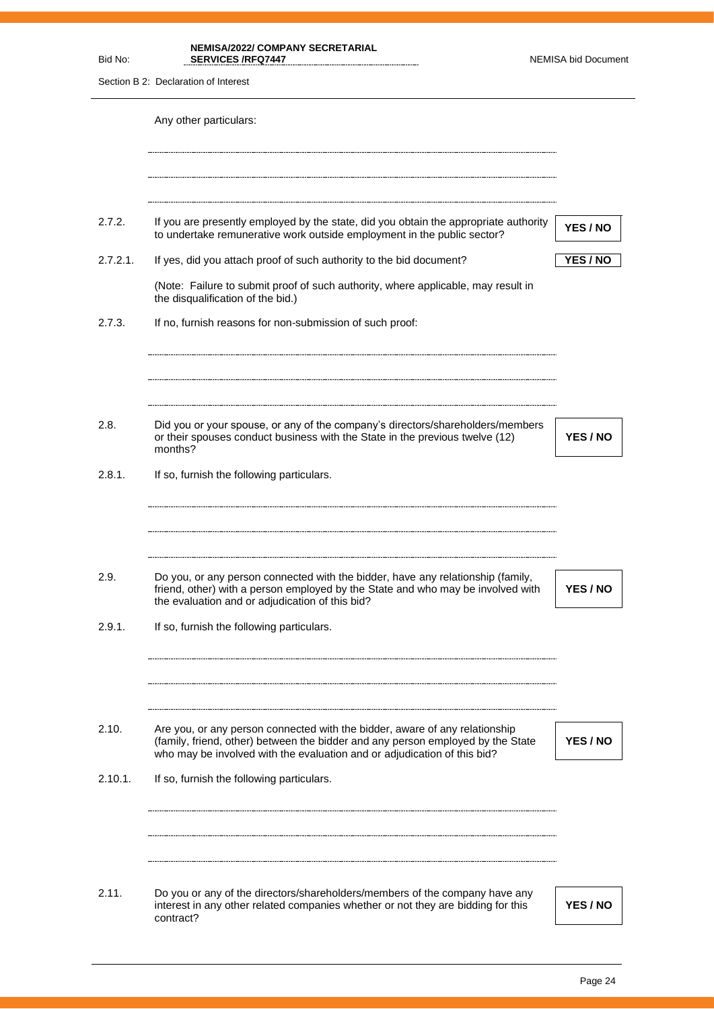| Bid No:  | <b>NEMISA/2022/ COMPANY SECRETARIAL</b><br><b>SERVICES /RFQ7447</b>                                                                                                                                                   | <b>NEMISA bid Document</b> |
|----------|-----------------------------------------------------------------------------------------------------------------------------------------------------------------------------------------------------------------------|----------------------------|
|          | Section B 2: Declaration of Interest                                                                                                                                                                                  |                            |
|          | Any other particulars:                                                                                                                                                                                                |                            |
| 2.7.2.   | If you are presently employed by the state, did you obtain the appropriate authority                                                                                                                                  |                            |
|          | to undertake remunerative work outside employment in the public sector?                                                                                                                                               | YES / NO                   |
| 2.7.2.1. | If yes, did you attach proof of such authority to the bid document?                                                                                                                                                   | <b>YES / NO</b>            |
|          | (Note: Failure to submit proof of such authority, where applicable, may result in<br>the disqualification of the bid.)                                                                                                |                            |
| 2.7.3.   | If no, furnish reasons for non-submission of such proof:                                                                                                                                                              |                            |
|          |                                                                                                                                                                                                                       |                            |
| 2.8.     | Did you or your spouse, or any of the company's directors/shareholders/members<br>or their spouses conduct business with the State in the previous twelve (12)<br>months?                                             | <b>YES / NO</b>            |
| 2.8.1.   | If so, furnish the following particulars.                                                                                                                                                                             |                            |
| 2.9.     | Do you, or any person connected with the bidder, have any relationship (family,<br>friend, other) with a person employed by the State and who may be involved with<br>the evaluation and or adjudication of this bid? | YES / NO                   |
| 2.9.1.   | If so, furnish the following particulars.                                                                                                                                                                             |                            |
| 2.10.    | Are you, or any person connected with the bidder, aware of any relationship                                                                                                                                           |                            |
|          | (family, friend, other) between the bidder and any person employed by the State<br>who may be involved with the evaluation and or adjudication of this bid?                                                           | <b>YES / NO</b>            |
| 2.10.1.  | If so, furnish the following particulars.                                                                                                                                                                             |                            |
|          |                                                                                                                                                                                                                       |                            |
| 2.11.    | Do you or any of the directors/shareholders/members of the company have any<br>interest in any other related companies whether or not they are bidding for this<br>contract?                                          | YES / NO                   |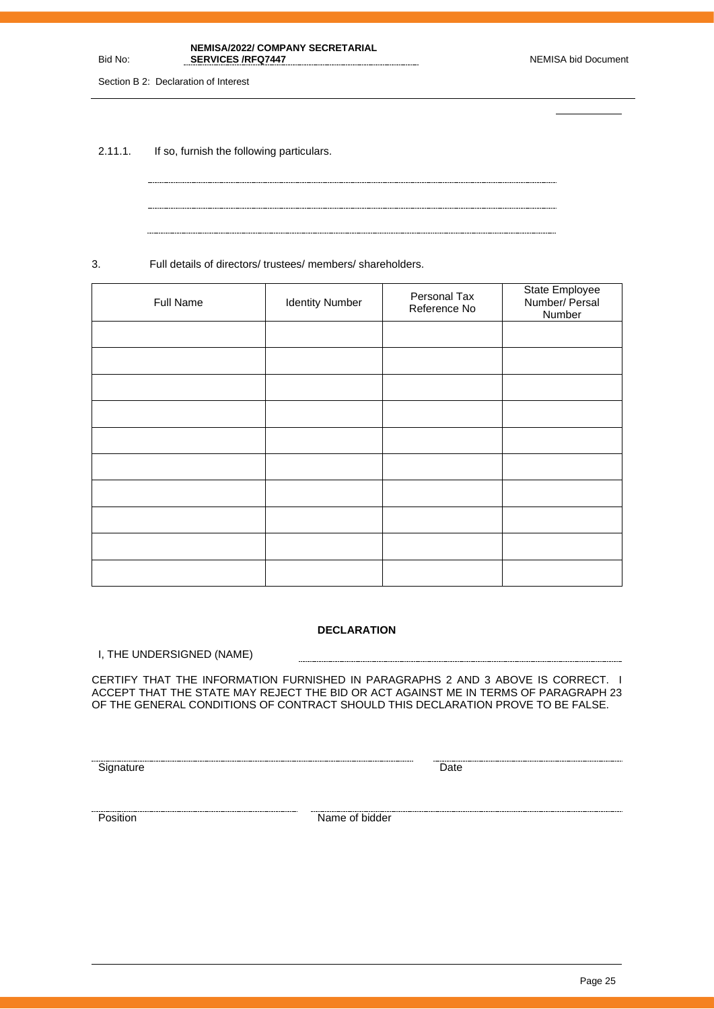Page 25

| <b>NEMISA/2022/ COMPANY SECRETARIAL</b> |                     |
|-----------------------------------------|---------------------|
| <b>SERVICES/RFQ7447</b>                 | NEMISA bid Document |

Section B 2: Declaration of Interest

Bid No:

2.11.1. If so, furnish the following particulars.

3. Full details of directors/ trustees/ members/ shareholders.

| Full Name | <b>Identity Number</b> | Personal Tax<br>Reference No | State Employee<br>Number/ Persal<br>Number |
|-----------|------------------------|------------------------------|--------------------------------------------|
|           |                        |                              |                                            |
|           |                        |                              |                                            |
|           |                        |                              |                                            |
|           |                        |                              |                                            |
|           |                        |                              |                                            |
|           |                        |                              |                                            |
|           |                        |                              |                                            |
|           |                        |                              |                                            |
|           |                        |                              |                                            |
|           |                        |                              |                                            |

#### **DECLARATION**

........................

I, THE UNDERSIGNED (NAME)

CERTIFY THAT THE INFORMATION FURNISHED IN PARAGRAPHS 2 AND 3 ABOVE IS CORRECT. I ACCEPT THAT THE STATE MAY REJECT THE BID OR ACT AGAINST ME IN TERMS OF PARAGRAPH 23 OF THE GENERAL CONDITIONS OF CONTRACT SHOULD THIS DECLARATION PROVE TO BE FALSE.

<u>Signature</u> Date **Construction Construction** Date **Construction** Date **Construction** Date

Exames a measurement of the state of bidder and the position of bidder  $\blacksquare$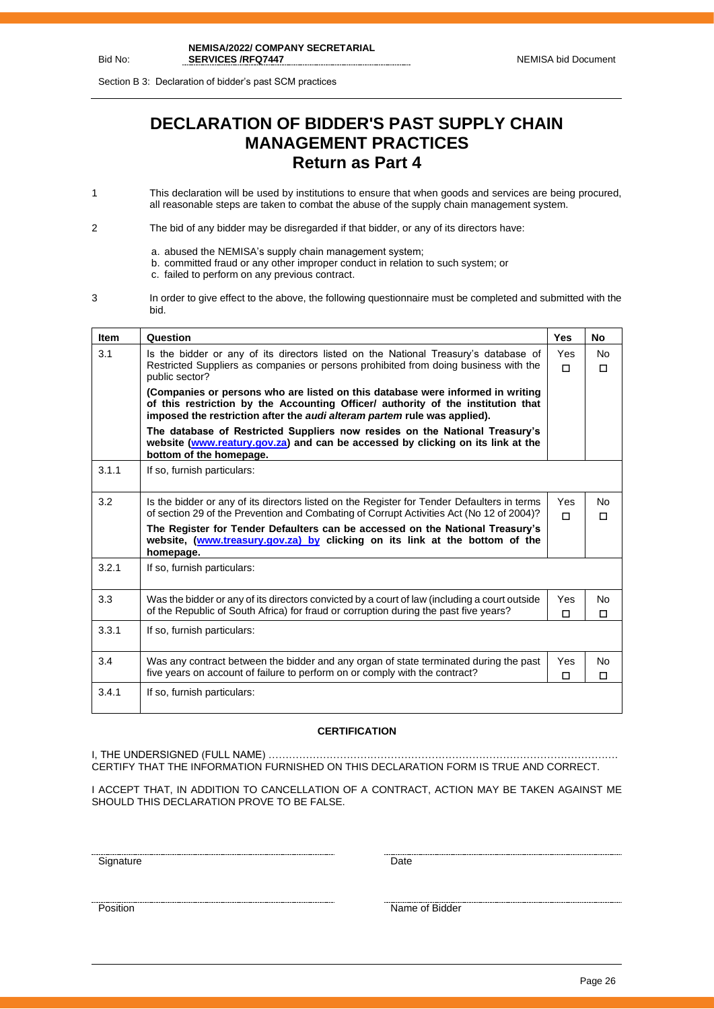Section B 3: Declaration of bidder's past SCM practices

## **DECLARATION OF BIDDER'S PAST SUPPLY CHAIN MANAGEMENT PRACTICES Return as Part 4**

1 This declaration will be used by institutions to ensure that when goods and services are being procured, all reasonable steps are taken to combat the abuse of the supply chain management system.

2 The bid of any bidder may be disregarded if that bidder, or any of its directors have:

- a. abused the NEMISA's supply chain management system;
- b. committed fraud or any other improper conduct in relation to such system; or
- c. failed to perform on any previous contract.
- 3 In order to give effect to the above, the following questionnaire must be completed and submitted with the bid.

| <b>Item</b> | Question                                                                                                                                                                                                                                              | <b>Yes</b>    | <b>No</b>           |  |
|-------------|-------------------------------------------------------------------------------------------------------------------------------------------------------------------------------------------------------------------------------------------------------|---------------|---------------------|--|
| 3.1         | Is the bidder or any of its directors listed on the National Treasury's database of<br>Restricted Suppliers as companies or persons prohibited from doing business with the<br>public sector?                                                         | Yes<br>$\Box$ | <b>No</b><br>$\Box$ |  |
|             | (Companies or persons who are listed on this database were informed in writing<br>of this restriction by the Accounting Officer/ authority of the institution that<br>imposed the restriction after the <i>audi alteram partem</i> rule was applied). |               |                     |  |
|             | The database of Restricted Suppliers now resides on the National Treasury's<br>website (www.reatury.gov.za) and can be accessed by clicking on its link at the<br>bottom of the homepage.                                                             |               |                     |  |
| 3.1.1       | If so, furnish particulars:                                                                                                                                                                                                                           |               |                     |  |
| 3.2         | Is the bidder or any of its directors listed on the Register for Tender Defaulters in terms<br>of section 29 of the Prevention and Combating of Corrupt Activities Act (No 12 of 2004)?                                                               | Yes<br>п      | <b>No</b><br>$\Box$ |  |
|             | The Register for Tender Defaulters can be accessed on the National Treasury's<br>website, (www.treasury.gov.za) by clicking on its link at the bottom of the<br>homepage.                                                                             |               |                     |  |
| 3.2.1       | If so, furnish particulars:                                                                                                                                                                                                                           |               |                     |  |
| 3.3         | Was the bidder or any of its directors convicted by a court of law (including a court outside<br>of the Republic of South Africa) for fraud or corruption during the past five years?                                                                 | Yes<br>п      | No<br>П             |  |
| 3.3.1       | If so, furnish particulars:                                                                                                                                                                                                                           |               |                     |  |
| 3.4         | Was any contract between the bidder and any organ of state terminated during the past<br>five years on account of failure to perform on or comply with the contract?                                                                                  | Yes<br>П      | <b>No</b><br>$\Box$ |  |
| 3.4.1       | If so, furnish particulars:                                                                                                                                                                                                                           |               |                     |  |

#### **CERTIFICATION**

I, THE UNDERSIGNED (FULL NAME) …………………………………………………………………………………………. CERTIFY THAT THE INFORMATION FURNISHED ON THIS DECLARATION FORM IS TRUE AND CORRECT.

I ACCEPT THAT, IN ADDITION TO CANCELLATION OF A CONTRACT, ACTION MAY BE TAKEN AGAINST ME SHOULD THIS DECLARATION PROVE TO BE FALSE.

<u>Signature Date</u>

<u>Position</u> Name of Bidder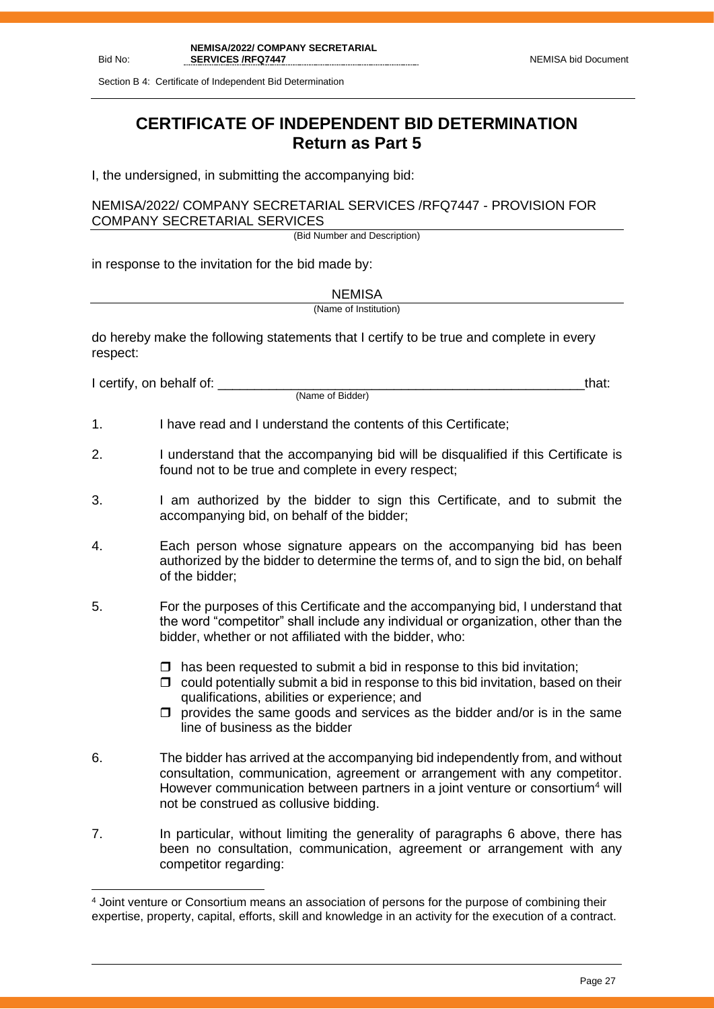Section B 4: Certificate of Independent Bid Determination

## **CERTIFICATE OF INDEPENDENT BID DETERMINATION Return as Part 5**

I, the undersigned, in submitting the accompanying bid:

NEMISA/2022/ COMPANY SECRETARIAL SERVICES /RFQ7447 - PROVISION FOR COMPANY SECRETARIAL SERVICES

(Bid Number and Description)

in response to the invitation for the bid made by:

**NEMISA** (Name of Institution)

do hereby make the following statements that I certify to be true and complete in every respect:

I certify, on behalf of: the state of the state of the state of the state of the state of the state of the stat

(Name of Bidder)

- 1. I have read and I understand the contents of this Certificate;
- 2. I understand that the accompanying bid will be disqualified if this Certificate is found not to be true and complete in every respect;
- 3. I am authorized by the bidder to sign this Certificate, and to submit the accompanying bid, on behalf of the bidder;
- 4. Each person whose signature appears on the accompanying bid has been authorized by the bidder to determine the terms of, and to sign the bid, on behalf of the bidder;
- 5. For the purposes of this Certificate and the accompanying bid, I understand that the word "competitor" shall include any individual or organization, other than the bidder, whether or not affiliated with the bidder, who:
	- $\Box$  has been requested to submit a bid in response to this bid invitation:
	- $\Box$  could potentially submit a bid in response to this bid invitation, based on their qualifications, abilities or experience; and
	- $\Box$  provides the same goods and services as the bidder and/or is in the same line of business as the bidder
- 6. The bidder has arrived at the accompanying bid independently from, and without consultation, communication, agreement or arrangement with any competitor. However communication between partners in a joint venture or consortium<sup>4</sup> will not be construed as collusive bidding.
- 7. In particular, without limiting the generality of paragraphs 6 above, there has been no consultation, communication, agreement or arrangement with any competitor regarding:

<sup>4</sup> Joint venture or Consortium means an association of persons for the purpose of combining their expertise, property, capital, efforts, skill and knowledge in an activity for the execution of a contract.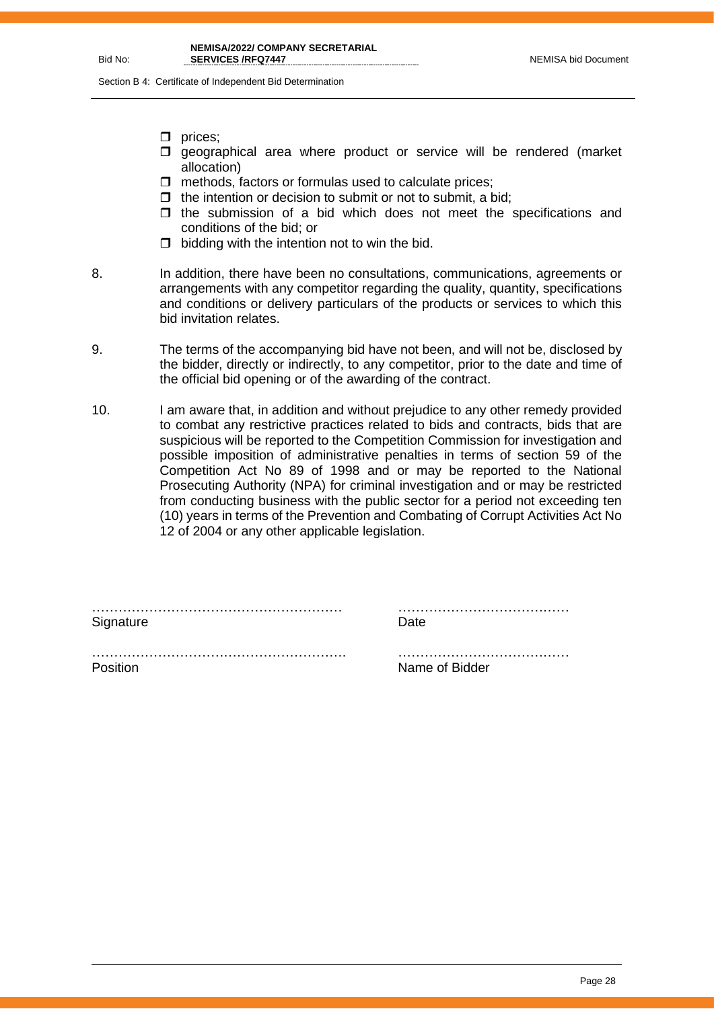Section B 4: Certificate of Independent Bid Determination

- $\Box$  prices;
- $\square$  geographical area where product or service will be rendered (market allocation)
- $\Box$  methods, factors or formulas used to calculate prices;
- $\Box$  the intention or decision to submit or not to submit, a bid;
- $\Box$  the submission of a bid which does not meet the specifications and conditions of the bid; or
- $\Box$  bidding with the intention not to win the bid.
- 8. In addition, there have been no consultations, communications, agreements or arrangements with any competitor regarding the quality, quantity, specifications and conditions or delivery particulars of the products or services to which this bid invitation relates.
- 9. The terms of the accompanying bid have not been, and will not be, disclosed by the bidder, directly or indirectly, to any competitor, prior to the date and time of the official bid opening or of the awarding of the contract.
- 10. I am aware that, in addition and without prejudice to any other remedy provided to combat any restrictive practices related to bids and contracts, bids that are suspicious will be reported to the Competition Commission for investigation and possible imposition of administrative penalties in terms of section 59 of the Competition Act No 89 of 1998 and or may be reported to the National Prosecuting Authority (NPA) for criminal investigation and or may be restricted from conducting business with the public sector for a period not exceeding ten (10) years in terms of the Prevention and Combating of Corrupt Activities Act No 12 of 2004 or any other applicable legislation.

………………………………………………… ………………………………… Signature Date Date

Position **Name of Bidder** 

 $\mathcal{L}^{\text{max}}$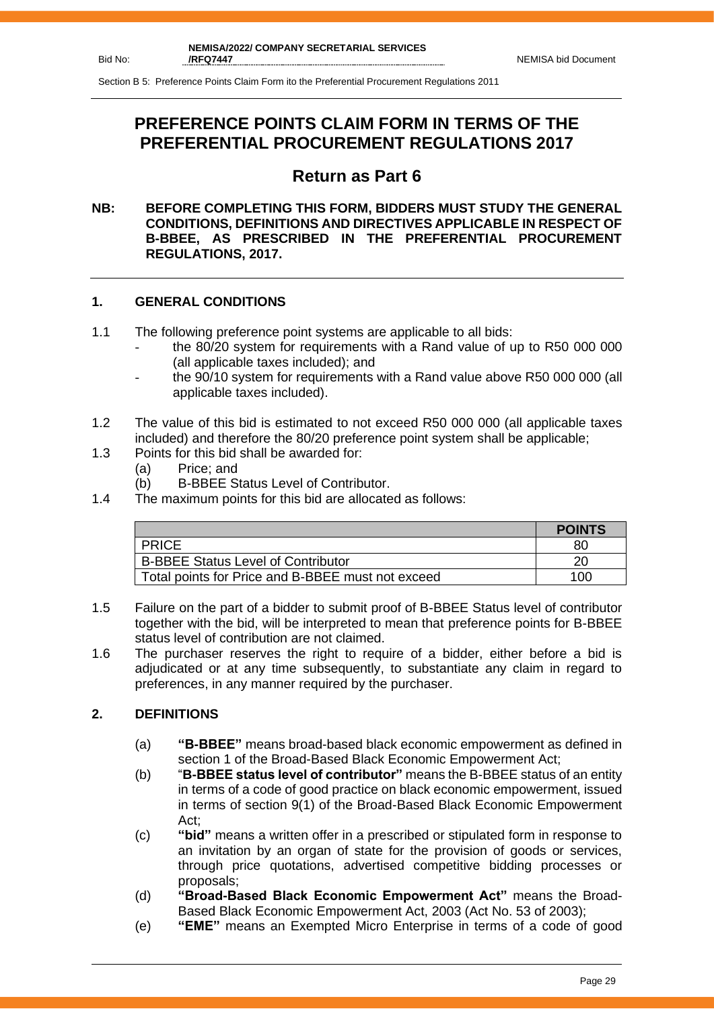Section B 5: Preference Points Claim Form ito the Preferential Procurement Regulations 2011

## **PREFERENCE POINTS CLAIM FORM IN TERMS OF THE PREFERENTIAL PROCUREMENT REGULATIONS 2017**

## **Return as Part 6**

### **NB: BEFORE COMPLETING THIS FORM, BIDDERS MUST STUDY THE GENERAL CONDITIONS, DEFINITIONS AND DIRECTIVES APPLICABLE IN RESPECT OF B-BBEE, AS PRESCRIBED IN THE PREFERENTIAL PROCUREMENT REGULATIONS, 2017.**

## **1. GENERAL CONDITIONS**

- 1.1 The following preference point systems are applicable to all bids:
	- the 80/20 system for requirements with a Rand value of up to R50 000 000 (all applicable taxes included); and
	- the 90/10 system for requirements with a Rand value above R50 000 000 (all applicable taxes included).
- 1.2 The value of this bid is estimated to not exceed R50 000 000 (all applicable taxes included) and therefore the 80/20 preference point system shall be applicable;
- 1.3 Points for this bid shall be awarded for:
	- (a) Price; and
	- (b) B-BBEE Status Level of Contributor.
- 1.4 The maximum points for this bid are allocated as follows:

|                                                   | <b>POINTS</b> |
|---------------------------------------------------|---------------|
| <b>PRICE</b>                                      | 80            |
| <b>B-BBEE Status Level of Contributor</b>         | 20            |
| Total points for Price and B-BBEE must not exceed | 100           |

- 1.5 Failure on the part of a bidder to submit proof of B-BBEE Status level of contributor together with the bid, will be interpreted to mean that preference points for B-BBEE status level of contribution are not claimed.
- 1.6 The purchaser reserves the right to require of a bidder, either before a bid is adjudicated or at any time subsequently, to substantiate any claim in regard to preferences, in any manner required by the purchaser.

## **2. DEFINITIONS**

- (a) **"B-BBEE"** means broad-based black economic empowerment as defined in section 1 of the Broad-Based Black Economic Empowerment Act;
- (b) "**B-BBEE status level of contributor"** means the B-BBEE status of an entity in terms of a code of good practice on black economic empowerment, issued in terms of section 9(1) of the Broad-Based Black Economic Empowerment Act;
- (c) **"bid"** means a written offer in a prescribed or stipulated form in response to an invitation by an organ of state for the provision of goods or services, through price quotations, advertised competitive bidding processes or proposals;
- (d) **"Broad-Based Black Economic Empowerment Act"** means the Broad-Based Black Economic Empowerment Act, 2003 (Act No. 53 of 2003);
- (e) **"EME"** means an Exempted Micro Enterprise in terms of a code of good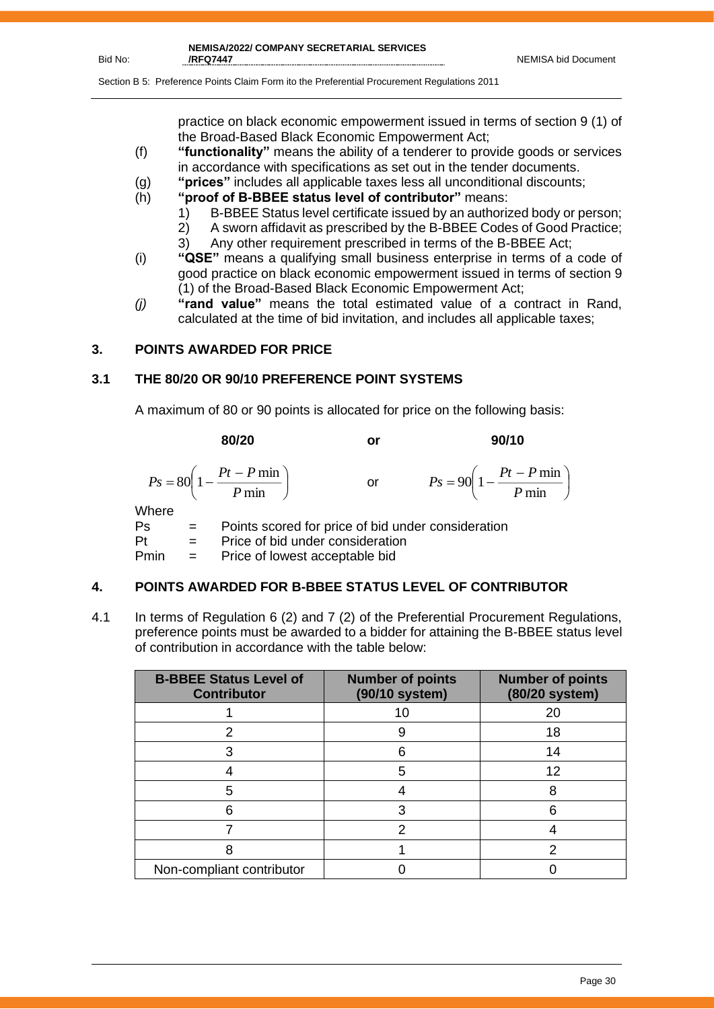I

Section B 5: Preference Points Claim Form ito the Preferential Procurement Regulations 2011

practice on black economic empowerment issued in terms of section 9 (1) of the Broad-Based Black Economic Empowerment Act;

- (f) **"functionality"** means the ability of a tenderer to provide goods or services in accordance with specifications as set out in the tender documents.
- (g) **"prices"** includes all applicable taxes less all unconditional discounts;
- (h) **"proof of B-BBEE status level of contributor"** means:
	- 1) B-BBEE Status level certificate issued by an authorized body or person;
	- 2) A sworn affidavit as prescribed by the B-BBEE Codes of Good Practice;
	- 3) Any other requirement prescribed in terms of the B-BBEE Act;
- (i) **"QSE"** means a qualifying small business enterprise in terms of a code of good practice on black economic empowerment issued in terms of section 9 (1) of the Broad-Based Black Economic Empowerment Act;
- *(j)* **"rand value"** means the total estimated value of a contract in Rand, calculated at the time of bid invitation, and includes all applicable taxes;

## **3. POINTS AWARDED FOR PRICE**

## **3.1 THE 80/20 OR 90/10 PREFERENCE POINT SYSTEMS**

A maximum of 80 or 90 points is allocated for price on the following basis:

**80/20 or 90/10** I J  $\left(1-\frac{Pt-P\min}{\sigma}\right)$ l  $=80\left(1-\frac{Pt-P}{P}\right)$  $80 \left(1 - \frac{Pt - P \min}{\sigma}\right)$ *P*  $P_s = 80 \left( 1 - \frac{Pt - P}{F} \right)$ or  $\bigg)$  $\left(1-\frac{Pt-P\min}{1-\frac{F}{2}}\right)$ l  $= 90\left(1 - \frac{Pt - P \ln P}{P \ln P}\right)$ 90  $1 - \frac{Pt - P \min}{\sum_{i=1}^{n} P \min_{i} P \min_{i} P \min_{i} P \min_{i} P \min_{i} P \min_{i} P \min_{i} P \min_{i} P \min_{i} P \min_{i} P \min_{i} P \min_{i} P \min_{i} P \min_{i} P \min_{i} P \min_{i} P \min_{i} P \min_{i} P \min_{i} P \min_{i} P \min_{i} P \min_{i} P \min_{i} P \min_{i} P \min_{i} P \min_{i} P \min_{i} P \min_{i} P \min_{i} P \min_{i} P \min_{i} P \min_{i} P \min_{$ *P*  $P_s = 90 \left( 1 - \frac{Pt - P}{F} \right)$ **Where** 

Ps = Points scored for price of bid under consideration  $Pt =$  Price of bid under consideration Pmin = Price of lowest acceptable bid

## **4. POINTS AWARDED FOR B-BBEE STATUS LEVEL OF CONTRIBUTOR**

4.1 In terms of Regulation 6 (2) and 7 (2) of the Preferential Procurement Regulations, preference points must be awarded to a bidder for attaining the B-BBEE status level of contribution in accordance with the table below:

| <b>B-BBEE Status Level of</b><br><b>Contributor</b> | <b>Number of points</b><br>(90/10 system) | <b>Number of points</b><br>(80/20 system) |
|-----------------------------------------------------|-------------------------------------------|-------------------------------------------|
|                                                     | 10                                        | 20                                        |
|                                                     | 9                                         | 18                                        |
|                                                     | 6                                         | 14                                        |
|                                                     | 5                                         | 12                                        |
| 5                                                   |                                           |                                           |
|                                                     |                                           |                                           |
|                                                     | っ                                         |                                           |
|                                                     |                                           |                                           |
| Non-compliant contributor                           |                                           |                                           |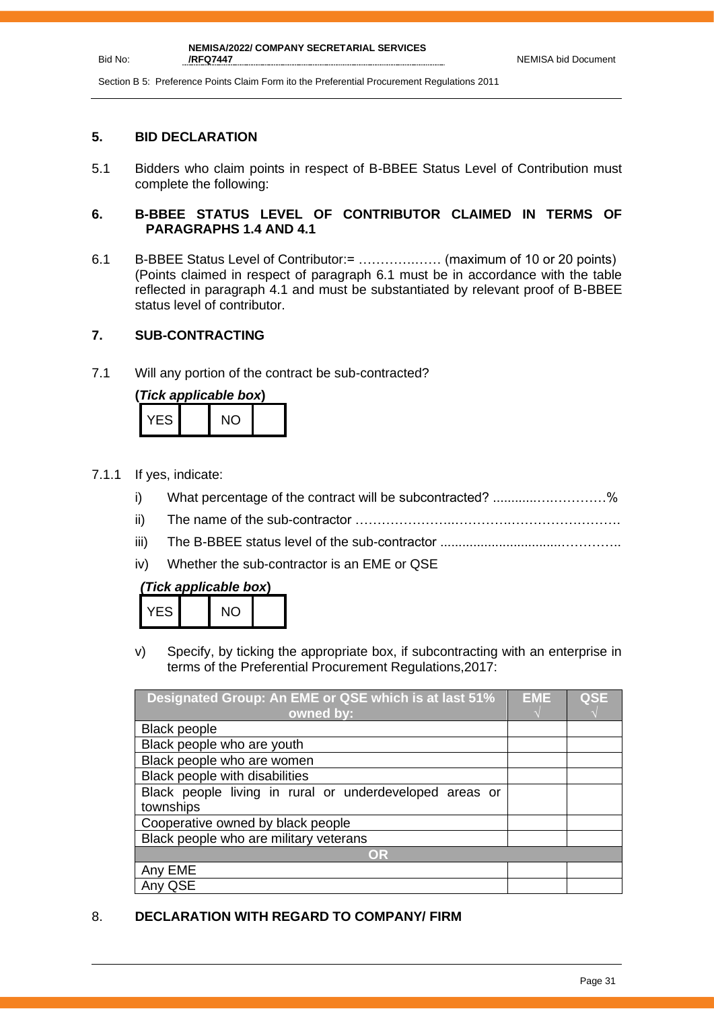Section B 5: Preference Points Claim Form ito the Preferential Procurement Regulations 2011

#### **5. BID DECLARATION**

Bid No:

5.1 Bidders who claim points in respect of B-BBEE Status Level of Contribution must complete the following:

### **6. B-BBEE STATUS LEVEL OF CONTRIBUTOR CLAIMED IN TERMS OF PARAGRAPHS 1.4 AND 4.1**

6.1 B-BBEE Status Level of Contributor:= ………….…… (maximum of 10 or 20 points) (Points claimed in respect of paragraph 6.1 must be in accordance with the table reflected in paragraph 4.1 and must be substantiated by relevant proof of B-BBEE status level of contributor.

## **7. SUB-CONTRACTING**

7.1 Will any portion of the contract be sub-contracted?

| (Tick applicable box) |  |     |  |  |  |
|-----------------------|--|-----|--|--|--|
| YES.                  |  | NO. |  |  |  |

- 7.1.1 If yes, indicate:
	- i) What percentage of the contract will be subcontracted? ............….…………%
	- ii) The name of the sub-contractor …………………..………….…………………….
	- iii) The B-BBEE status level of the sub-contractor .................................…………..
	- iv) Whether the sub-contractor is an EME or QSE

## *(Tick applicable box***)**

|  | - 51 |  | NC. |  |
|--|------|--|-----|--|
|--|------|--|-----|--|

v) Specify, by ticking the appropriate box, if subcontracting with an enterprise in terms of the Preferential Procurement Regulations,2017:

| Designated Group: An EME or QSE which is at last 51%    | <b>EME</b> | <b>QSE</b> |
|---------------------------------------------------------|------------|------------|
| owned by:                                               |            |            |
| <b>Black people</b>                                     |            |            |
| Black people who are youth                              |            |            |
| Black people who are women                              |            |            |
| Black people with disabilities                          |            |            |
| Black people living in rural or underdeveloped areas or |            |            |
| townships                                               |            |            |
| Cooperative owned by black people                       |            |            |
| Black people who are military veterans                  |            |            |
| OR                                                      |            |            |
| Any EME                                                 |            |            |
| Any QSE                                                 |            |            |

## 8. **DECLARATION WITH REGARD TO COMPANY/ FIRM**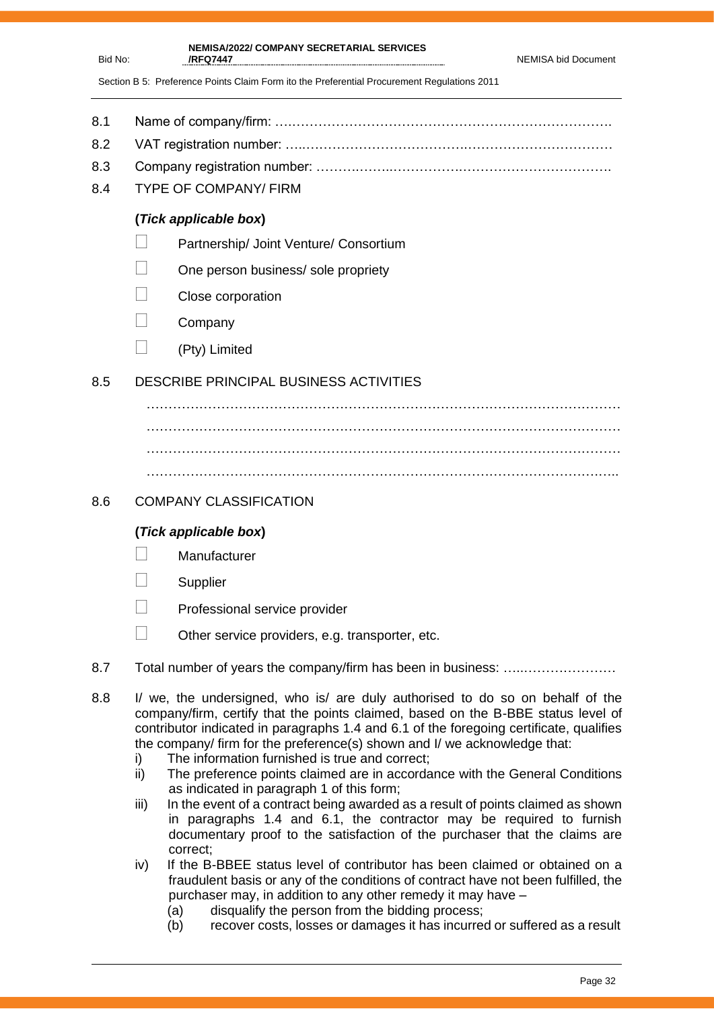|  | NEMISA bid Document |
|--|---------------------|
|  |                     |

**NEMISA/2022/ COMPANY SECRETARIAL SERVICES /RFQ7447** 

Section B 5: Preference Points Claim Form ito the Preferential Procurement Regulations 2011

- 8.1 Name of company/firm: ….……………………………………………………………….
- 8.2 VAT registration number: …..……………………………….……………………………
- 8.3 Company registration number: ……….……..…………….…………………………….
- 8.4 TYPE OF COMPANY/ FIRM

Bid No:

## **(***Tick applicable box***)**

- **Partnership/ Joint Venture/ Consortium**
- $\Box$  One person business/ sole propriety
- Close corporation
- $\Box$  Company
- $\Box$  (Pty) Limited

## 8.5 DESCRIBE PRINCIPAL BUSINESS ACTIVITIES

……………………………………………………………………………………………… ………………………………………………………………………………………………

## 8.6 COMPANY CLASSIFICATION

## **(***Tick applicable box***)**

- **Manufacturer**
- **Supplier**
- Professional service provider
- $\Box$  Other service providers, e.g. transporter, etc.
- 8.7 Total number of years the company/firm has been in business: ………………………
- 8.8 I/ we, the undersigned, who is/ are duly authorised to do so on behalf of the company/firm, certify that the points claimed, based on the B-BBE status level of contributor indicated in paragraphs 1.4 and 6.1 of the foregoing certificate, qualifies the company/ firm for the preference(s) shown and I/ we acknowledge that:
	- i) The information furnished is true and correct;
	- ii) The preference points claimed are in accordance with the General Conditions as indicated in paragraph 1 of this form;
	- iii) In the event of a contract being awarded as a result of points claimed as shown in paragraphs 1.4 and 6.1, the contractor may be required to furnish documentary proof to the satisfaction of the purchaser that the claims are correct;
	- iv) If the B-BBEE status level of contributor has been claimed or obtained on a fraudulent basis or any of the conditions of contract have not been fulfilled, the purchaser may, in addition to any other remedy it may have –
		- (a) disqualify the person from the bidding process;
		- (b) recover costs, losses or damages it has incurred or suffered as a result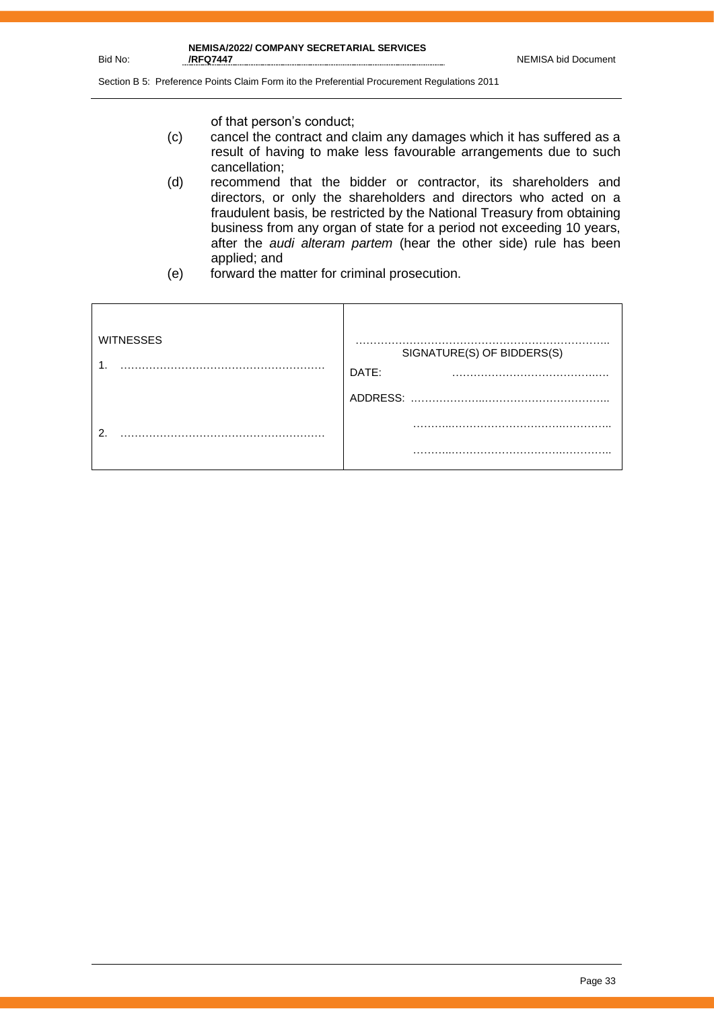Bid No:

Section B 5: Preference Points Claim Form ito the Preferential Procurement Regulations 2011

of that person's conduct;

- (c) cancel the contract and claim any damages which it has suffered as a result of having to make less favourable arrangements due to such cancellation;
- (d) recommend that the bidder or contractor, its shareholders and directors, or only the shareholders and directors who acted on a fraudulent basis, be restricted by the National Treasury from obtaining business from any organ of state for a period not exceeding 10 years, after the *audi alteram partem* (hear the other side) rule has been applied; and
- (e) forward the matter for criminal prosecution.

| <b>WITNESSES</b> | SIGNATURE(S) OF BIDDERS(S)<br>DATE: |
|------------------|-------------------------------------|
|                  | ADDRESS:                            |
| ົ                |                                     |
|                  | .                                   |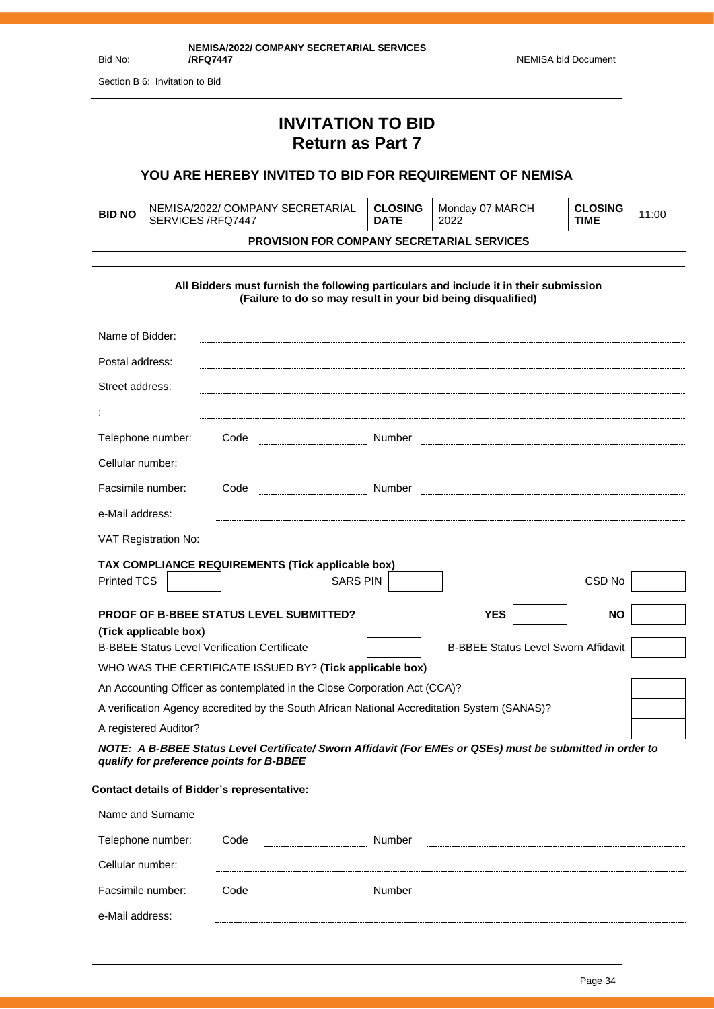Section B 6: Invitation to Bid

## **INVITATION TO BID Return as Part 7**

## **YOU ARE HEREBY INVITED TO BID FOR REQUIREMENT OF NEMISA**

| <b>BID NO</b>                                     | NEMISA/2022/ COMPANY SECRETARIAL<br>SERVICES/RFQ7447 | ∣ CLOSING<br><b>DATE</b> | Monday 07 MARCH<br>2022 | <b>CLOSING</b><br>TIME | 11:00 |
|---------------------------------------------------|------------------------------------------------------|--------------------------|-------------------------|------------------------|-------|
| <b>PROVISION FOR COMPANY SECRETARIAL SERVICES</b> |                                                      |                          |                         |                        |       |

**All Bidders must furnish the following particulars and include it in their submission (Failure to do so may result in your bid being disqualified)**

| Name of Bidder:                                                                                                                                       |                                                    |                                            |                   |  |
|-------------------------------------------------------------------------------------------------------------------------------------------------------|----------------------------------------------------|--------------------------------------------|-------------------|--|
| Postal address:                                                                                                                                       |                                                    |                                            |                   |  |
| Street address:                                                                                                                                       |                                                    |                                            |                   |  |
|                                                                                                                                                       |                                                    |                                            |                   |  |
| Telephone number:                                                                                                                                     | Code<br>----------------------------------- Number |                                            |                   |  |
| Cellular number:                                                                                                                                      |                                                    |                                            |                   |  |
| Facsimile number:                                                                                                                                     | Code                                               |                                            |                   |  |
| e-Mail address:                                                                                                                                       |                                                    |                                            |                   |  |
| VAT Registration No:                                                                                                                                  |                                                    |                                            |                   |  |
|                                                                                                                                                       | TAX COMPLIANCE REQUIREMENTS (Tick applicable box)  |                                            |                   |  |
| <b>Printed TCS</b>                                                                                                                                    | <b>SARS PIN</b>                                    |                                            | CSD <sub>No</sub> |  |
|                                                                                                                                                       | <b>PROOF OF B-BBEE STATUS LEVEL SUBMITTED?</b>     | <b>YES</b>                                 | <b>NO</b>         |  |
| (Tick applicable box)<br><b>B-BBEE Status Level Verification Certificate</b>                                                                          |                                                    | <b>B-BBEE Status Level Sworn Affidavit</b> |                   |  |
| WHO WAS THE CERTIFICATE ISSUED BY? (Tick applicable box)                                                                                              |                                                    |                                            |                   |  |
| An Accounting Officer as contemplated in the Close Corporation Act (CCA)?                                                                             |                                                    |                                            |                   |  |
| A verification Agency accredited by the South African National Accreditation System (SANAS)?                                                          |                                                    |                                            |                   |  |
| A registered Auditor?                                                                                                                                 |                                                    |                                            |                   |  |
| NOTE: A B-BBEE Status Level Certificate/ Sworn Affidavit (For EMEs or QSEs) must be submitted in order to<br>qualify for preference points for B-BBEE |                                                    |                                            |                   |  |

#### **Contact details of Bidder's representative:**

| Name and Surname  |       |        |       |
|-------------------|-------|--------|-------|
| Telephone number: | Code  | Number | ----- |
| Cellular number:  |       |        |       |
| Facsimile number: | Code. | Number |       |
| e-Mail address:   |       |        |       |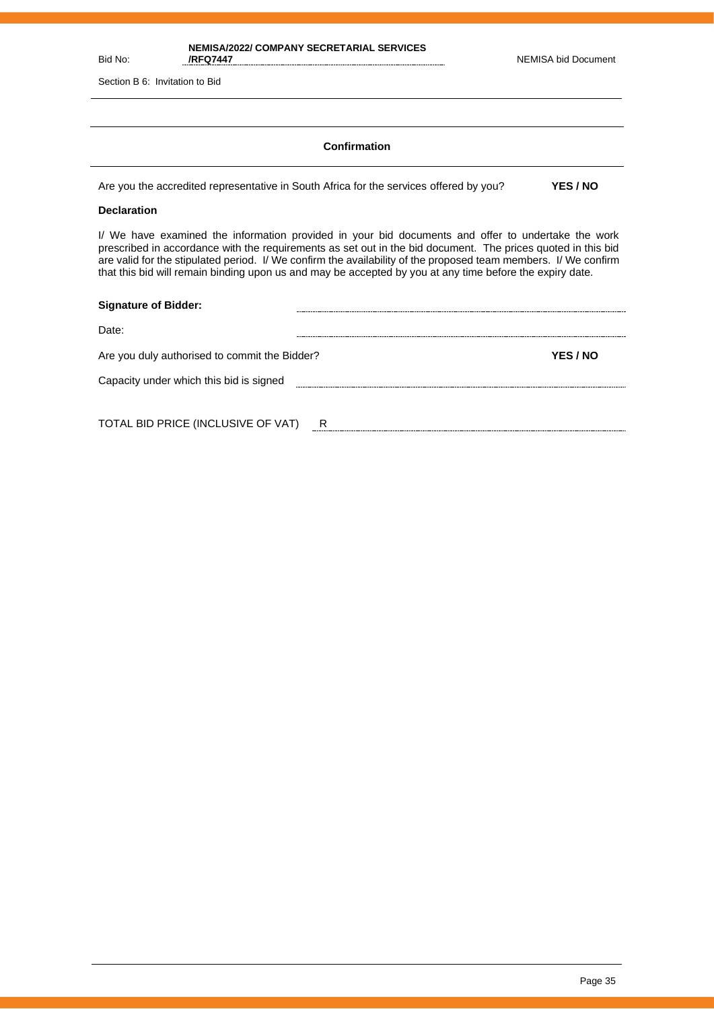| NEMISA/2022/ COMPANY SECRETARIAL SERVICES |                     |
|-------------------------------------------|---------------------|
| /RFQ7447                                  | NEMISA bid Document |

Section B 6: Invitation to Bid

#### **Confirmation**

Are you the accredited representative in South Africa for the services offered by you? **YES / NO**

#### **Declaration**

Bid No:

I/ We have examined the information provided in your bid documents and offer to undertake the work prescribed in accordance with the requirements as set out in the bid document. The prices quoted in this bid are valid for the stipulated period. I/ We confirm the availability of the proposed team members. I/ We confirm that this bid will remain binding upon us and may be accepted by you at any time before the expiry date.

| YES / NO |
|----------|
|          |
|          |
|          |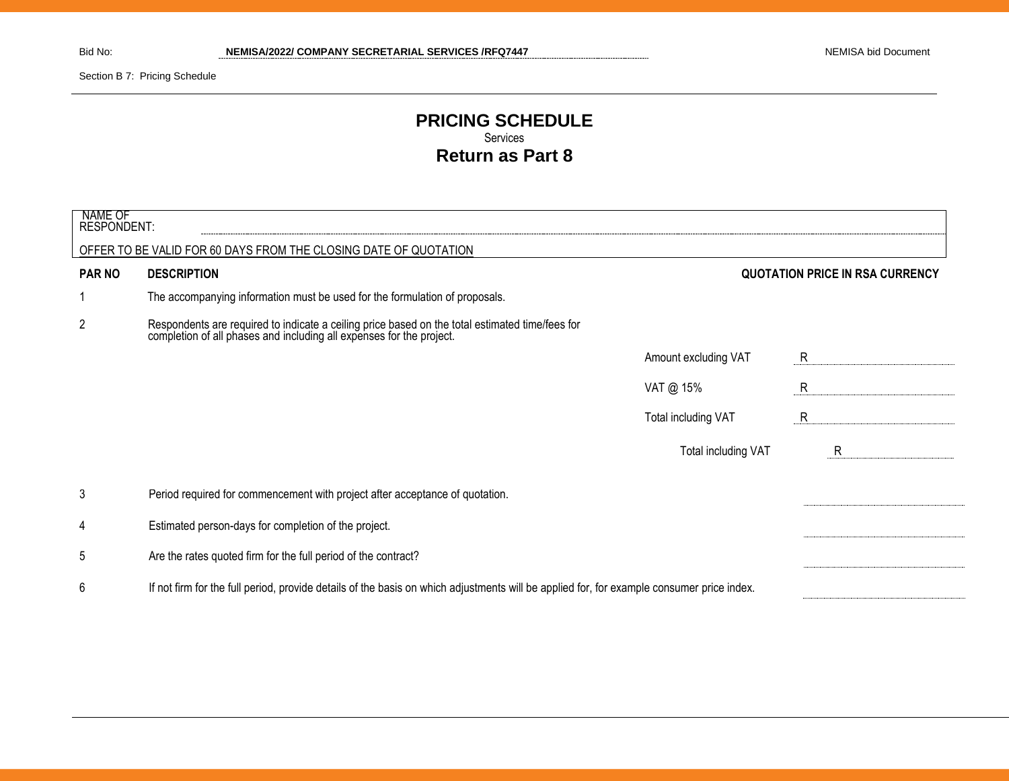Section B 7: Pricing Schedule

## **PRICING SCHEDULE** Services **Return as Part 8**

| NAME OF<br>RESPONDENT: |                                                                                                                                                                         |                      |                                        |
|------------------------|-------------------------------------------------------------------------------------------------------------------------------------------------------------------------|----------------------|----------------------------------------|
|                        | OFFER TO BE VALID FOR 60 DAYS FROM THE CLOSING DATE OF QUOTATION                                                                                                        |                      |                                        |
| <b>PAR NO</b>          | <b>DESCRIPTION</b>                                                                                                                                                      |                      | <b>QUOTATION PRICE IN RSA CURRENCY</b> |
|                        | The accompanying information must be used for the formulation of proposals.                                                                                             |                      |                                        |
| $\overline{2}$         | Respondents are required to indicate a ceiling price based on the total estimated time/fees for<br>completion of all phases and including all expenses for the project. |                      |                                        |
|                        |                                                                                                                                                                         | Amount excluding VAT | R                                      |
|                        |                                                                                                                                                                         | VAT @ 15%            | R                                      |
|                        |                                                                                                                                                                         | Total including VAT  | R                                      |
|                        |                                                                                                                                                                         | Total including VAT  | R                                      |
| 3                      | Period required for commencement with project after acceptance of quotation.                                                                                            |                      |                                        |
| 4                      | Estimated person-days for completion of the project.                                                                                                                    |                      |                                        |
| 5                      | Are the rates quoted firm for the full period of the contract?                                                                                                          |                      |                                        |
| 6                      | If not firm for the full period, provide details of the basis on which adjustments will be applied for, for example consumer price index.                               |                      |                                        |